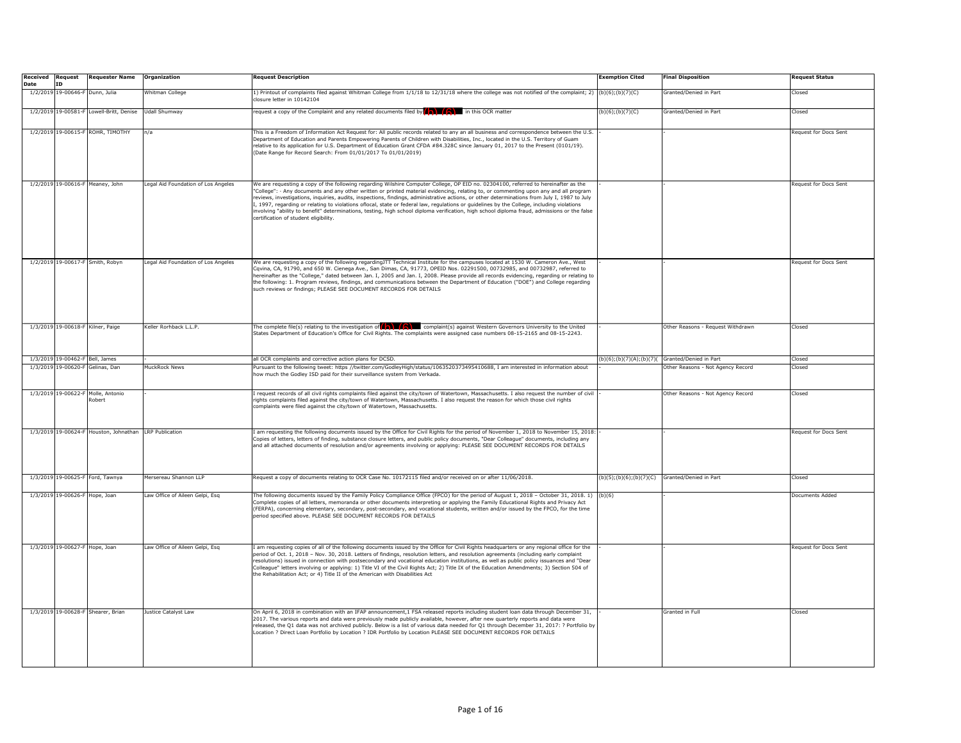| <b>Received Request</b> |           | <b>Requester Name</b>                                  | Organization                        | Request Description                                                                                                                                                                                                                                                                                                                                                                                                                                                                                                                                                                                                           | <b>Exemption Cited</b>                         | <b>Final Disposition</b>          | Request Status               |
|-------------------------|-----------|--------------------------------------------------------|-------------------------------------|-------------------------------------------------------------------------------------------------------------------------------------------------------------------------------------------------------------------------------------------------------------------------------------------------------------------------------------------------------------------------------------------------------------------------------------------------------------------------------------------------------------------------------------------------------------------------------------------------------------------------------|------------------------------------------------|-----------------------------------|------------------------------|
| Date                    | <b>ID</b> |                                                        |                                     |                                                                                                                                                                                                                                                                                                                                                                                                                                                                                                                                                                                                                               |                                                |                                   |                              |
|                         |           | 1/2/2019 19-00646-F Dunn, Julia                        | Whitman College                     | 1) Printout of complaints filed against Whitman College from 1/1/18 to 12/31/18 where the college was not notified of the complaint; 2)<br>closure letter in 10142104                                                                                                                                                                                                                                                                                                                                                                                                                                                         | (b)(6); (b)(7)(C)                              | Granted/Denied in Part            | Closed                       |
|                         |           | 1/2/2019 19-00581-F Lowell-Britt, Denise               | Udall Shumway                       | request a copy of the Complaint and any related documents filed by $(\Box)$ $(\Box)$ in this OCR matter                                                                                                                                                                                                                                                                                                                                                                                                                                                                                                                       | (b)(6);(b)(7)(C)                               | Granted/Denied in Part            | Closed                       |
|                         |           | 1/2/2019 19-00615-F ROHR, TIMOTHY                      | n/a                                 | This is a Freedom of Information Act Request for: All public records related to any an all business and correspondence between the U.S.                                                                                                                                                                                                                                                                                                                                                                                                                                                                                       |                                                |                                   | Request for Docs Sent        |
|                         |           |                                                        |                                     | Department of Education and Parents Empowering Parents of Children with Disabilities, Inc., located in the U.S. Territory of Guam<br>relative to its application for U.S. Department of Education Grant CFDA #84.328C since January 01, 2017 to the Present (0101/19).<br>(Date Range for Record Search: From 01/01/2017 To 01/01/2019)                                                                                                                                                                                                                                                                                       |                                                |                                   |                              |
|                         |           | 1/2/2019 19-00616-F Meaney, John                       | Legal Aid Foundation of Los Angeles | We are requesting a copy of the following regarding Wilshire Computer College, OP EID no. 02304100, referred to hereinafter as the                                                                                                                                                                                                                                                                                                                                                                                                                                                                                            |                                                |                                   | Request for Docs Sent        |
|                         |           |                                                        |                                     | 'College": · Any documents and any other written or printed material evidencing, relating to, or commenting upon any and all program<br>eviews, investigations, inquiries, audits, inspections, findings, administrative actions, or other determinations from July I, 1987 to July<br>.<br>I, 1997, regarding or relating to violations oflocal, state or federal law, regulations or guidelines by the College, including violations<br>nvolving "ability to benefit" determinations, testing, high school diploma verification, high school diploma fraud, admissions or the false<br>ertification of student eligibility. |                                                |                                   |                              |
|                         |           | 1/2/2019 19-00617-F Smith, Robyn                       | Legal Aid Foundation of Los Angeles | We are requesting a copy of the following regardingJTT Technical Institute for the campuses located at 1530 W. Cameron Ave., West                                                                                                                                                                                                                                                                                                                                                                                                                                                                                             |                                                |                                   | <b>Request for Docs Sent</b> |
|                         |           |                                                        |                                     | Cqvina, CA, 91790, and 650 W. Cienega Ave., San Dimas, CA, 91773, OPEID Nos. 02291500, 00732985, and 00732987, referred to<br>hereinafter as the "College," dated between Jan. I, 2005 and Jan. I, 2008. Please provide all records evidencing, regarding or relating to<br>the following: 1. Program reviews, findings, and communications between the Department of Education ("DOE") and College regarding<br>such reviews or findings; PLEASE SEE DOCUMENT RECORDS FOR DETAILS                                                                                                                                            |                                                |                                   |                              |
|                         |           | 1/3/2019 19-00618-F Kilner, Paige                      | Keller Rorhback L.L.P.              | The complete file(s) relating to the investigation of $\left(\bigwedge\right)$ complaint(s) against Western Governors University to the United                                                                                                                                                                                                                                                                                                                                                                                                                                                                                |                                                | Other Reasons - Request Withdrawn | Closed                       |
|                         |           |                                                        |                                     | States Department of Education's Office for Civil Rights. The complaints were assigned case numbers 08-15-2165 and 08-15-2243.                                                                                                                                                                                                                                                                                                                                                                                                                                                                                                |                                                |                                   |                              |
|                         |           | 1/3/2019 19-00462-F Bell, James                        |                                     | all OCR complaints and corrective action plans for DCSD.                                                                                                                                                                                                                                                                                                                                                                                                                                                                                                                                                                      | (b)(6);(b)(7)(A);(b)(7)(Granted/Denied in Part |                                   | Closed                       |
|                         |           | 1/3/2019 19-00620-F Gelinas, Dan                       | MuckRock News                       | Pursuant to the following tweet: https //twitter.com/GodleyHigh/status/1063520373495410688, I am interested in information about<br>how much the Godley ISD paid for their surveillance system from Verkada.                                                                                                                                                                                                                                                                                                                                                                                                                  |                                                | Other Reasons - Not Agency Record | Closed                       |
|                         |           | 1/3/2019 19-00622-F Molle, Antonio<br>tobert           |                                     | I request records of all civil rights complaints filed against the city/town of Watertown, Massachusetts. I also request the number of civil<br>ights complaints filed against the city/town of Watertown, Massachusetts. I also request the reason for which those civil rights<br>complaints were filed against the city/town of Watertown, Massachusetts.                                                                                                                                                                                                                                                                  |                                                | Other Reasons - Not Agency Record | Closed                       |
|                         |           | 1/3/2019 19-00624-F Houston, Johnathan LRP Publication |                                     | I am requesting the following documents issued by the Office for Civil Rights for the period of November 1, 2018 to November 15, 2018<br>Copies of letters, letters of finding, substance closure letters, and public policy documents, "Dear Colleague" documents, including any<br>and all attached documents of resolution and/or agreements involving or applying: PLEASE SEE DOCUMENT RECORDS FOR DETAILS                                                                                                                                                                                                                |                                                |                                   | Request for Docs Sent        |
|                         |           | 1/3/2019 19-00625-F Ford, Tawnya                       | Mersereau Shannon LLP               | Request a copy of documents relating to OCR Case No. 10172115 filed and/or received on or after 11/06/2018.                                                                                                                                                                                                                                                                                                                                                                                                                                                                                                                   | (b)(5);(b)(6);(b)(7)(C) Granted/Denied in Part |                                   | Closed                       |
|                         |           | 1/3/2019 19-00626-F Hope, Joan                         | Law Office of Aileen Gelpi, Esq     | The following documents issued by the Family Policy Compliance Office (FPCO) for the period of August 1, 2018 - October 31, 2018. 1)<br>Complete copies of all letters, memoranda or other documents interpreting or applying the Family Educational Rights and Privacy Act<br>(FERPA), concerning elementary, secondary, post-secondary, and vocational students, written and/or issued by the FPCO, for the time<br>eriod specified above. PLEASE SEE DOCUMENT RECORDS FOR DETAILS                                                                                                                                          | (b)(6)                                         |                                   | Documents Added              |
|                         |           | 1/3/2019 19-00627-F Hope, Joan                         | Law Office of Aileen Gelpi, Esq     | I am requesting copies of all of the following documents issued by the Office for Civil Rights headquarters or any regional office for the                                                                                                                                                                                                                                                                                                                                                                                                                                                                                    |                                                |                                   | Request for Docs Sent        |
|                         |           |                                                        |                                     | period of Oct. 1, 2018 - Nov. 30, 2018. Letters of findings, resolution letters, and resolution agreements (including early complaint<br>resolutions) issued in connection with postsecondary and vocational education institutions, as well as public policy issuances and "Dear<br>Colleague" letters involving or applying: 1) Title VI of the Civil Rights Act; 2) Title IX of the Education Amendments; 3) Section 504 of<br>the Rehabilitation Act; or 4) Title II of the American with Disabilities Act                                                                                                                |                                                |                                   |                              |
|                         |           | 1/3/2019 19-00628-F Shearer, Brian                     | Justice Catalyst Law                | On April 6, 2018 in combination with an IFAP announcement,1 FSA released reports including student loan data through December 31,                                                                                                                                                                                                                                                                                                                                                                                                                                                                                             |                                                | Granted in Full                   | Closed                       |
|                         |           |                                                        |                                     | 2017. The various reports and data were previously made publicly available, however, after new quarterly reports and data were<br>released, the Q1 data was not archived publicly. Below is a list of various data needed for Q1 through December 31, 2017: ? Portfolio by<br>Location ? Direct Loan Portfolio by Location ? IDR Portfolio by Location PLEASE SEE DOCUMENT RECORDS FOR DETAILS                                                                                                                                                                                                                                |                                                |                                   |                              |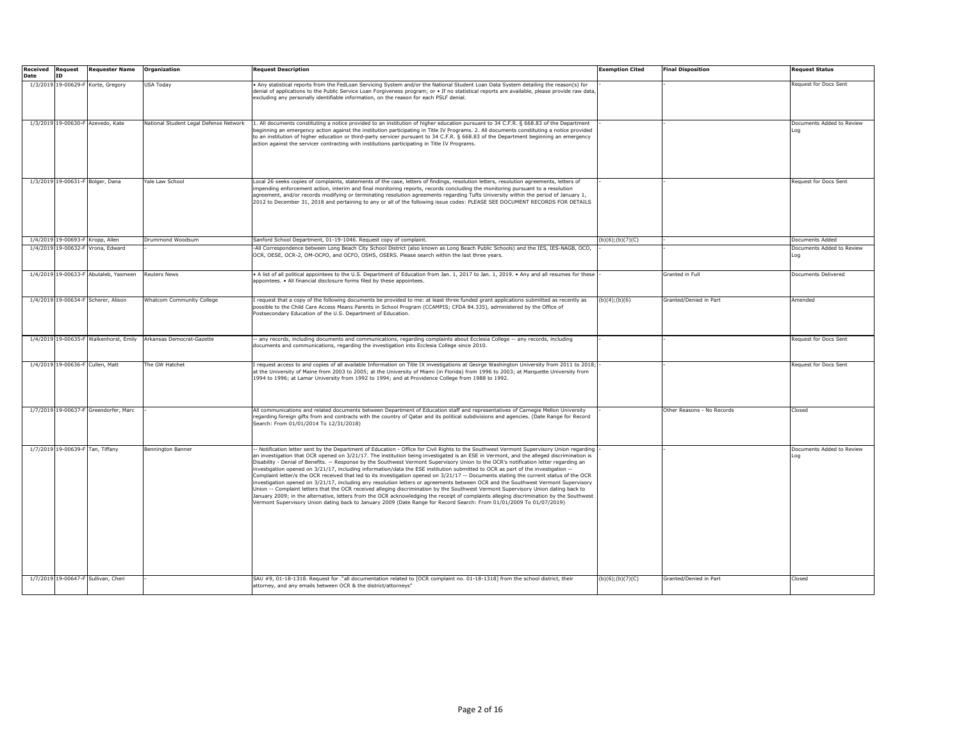| <b>Received Request</b><br>Date | ID | <b>Requester Name</b>                  | Organization                           | <b>Request Description</b>                                                                                                                                                                                                                                                                                                                                                                                                                                                                                                                                                                                                                                                                                                                                                                                                                                                                                                                                                                                                                                                                                                                                                                                                                               | <b>Exemption Cited</b> | <b>Final Disposition</b>   | <b>Request Status</b>            |
|---------------------------------|----|----------------------------------------|----------------------------------------|----------------------------------------------------------------------------------------------------------------------------------------------------------------------------------------------------------------------------------------------------------------------------------------------------------------------------------------------------------------------------------------------------------------------------------------------------------------------------------------------------------------------------------------------------------------------------------------------------------------------------------------------------------------------------------------------------------------------------------------------------------------------------------------------------------------------------------------------------------------------------------------------------------------------------------------------------------------------------------------------------------------------------------------------------------------------------------------------------------------------------------------------------------------------------------------------------------------------------------------------------------|------------------------|----------------------------|----------------------------------|
|                                 |    | 1/3/2019 19-00629-F Korte, Gregory     | USA Today                              | . Any statistical reports from the FedLoan Servicing System and/or the National Student Loan Data System detailing the reason(s) for<br>denial of applications to the Public Service Loan Forgiveness program; or • If no statistical reports are available, please provide raw data<br>excluding any personally identifiable information, on the reason for each PSLF denial.                                                                                                                                                                                                                                                                                                                                                                                                                                                                                                                                                                                                                                                                                                                                                                                                                                                                           |                        |                            | Request for Docs Sent            |
|                                 |    | 1/3/2019 19-00630-F Azevedo, Kate      | National Student Legal Defense Network | 1. All documents constituting a notice provided to an institution of higher education pursuant to 34 C.F.R. § 668.83 of the Department<br>beginning an emergency action against the institution participating in Title IV Programs. 2. All documents constituting a notice provided<br>to an institution of higher education or third-party servicer pursuant to 34 C.F.R. § 668.83 of the Department beginning an emergency<br>action against the servicer contracting with institutions participating in Title IV Programs.                                                                                                                                                                                                                                                                                                                                                                                                                                                                                                                                                                                                                                                                                                                            |                        |                            | Documents Added to Review<br>Loa |
|                                 |    | 1/3/2019 19-00631-F Bolger, Dana       | Yale Law School                        | Local 26 seeks copies of complaints, statements of the case, letters of findings, resolution letters, resolution agreements, letters of<br>impending enforcement action, interim and final monitoring reports, records concluding the monitoring pursuant to a resolution<br>agreement, and/or records modifying or terminating resolution agreements regarding Tufts University within the period of January 1,<br>2012 to December 31, 2018 and pertaining to any or all of the following issue codes: PLEASE SEE DOCUMENT RECORDS FOR DETAILS                                                                                                                                                                                                                                                                                                                                                                                                                                                                                                                                                                                                                                                                                                         |                        |                            | Request for Docs Sent            |
|                                 |    | 1/4/2019 19-00693-F Kropp, Allen       | Drummond Woodsum                       | Sanford School Department, 01-19-1046. Request copy of complaint.                                                                                                                                                                                                                                                                                                                                                                                                                                                                                                                                                                                                                                                                                                                                                                                                                                                                                                                                                                                                                                                                                                                                                                                        | (b)(6); (b)(7)(C)      |                            | Documents Added                  |
|                                 |    | 1/4/2019 19-00632-F Vrona, Edward      |                                        | -All Correspondence between Long Beach City School District (also known as Long Beach Public Schools) and the IES, IES-NAGB, OCO,<br>OCR, OESE, OCR-2, OM-OCPO, and OCFO, OSHS, OSERS. Please search within the last three years.                                                                                                                                                                                                                                                                                                                                                                                                                                                                                                                                                                                                                                                                                                                                                                                                                                                                                                                                                                                                                        |                        |                            | Documents Added to Review<br>Loa |
|                                 |    | 1/4/2019 19-00633-F Abutaleb, Yasmeen  | <b>Reuters News</b>                    | • A list of all political appointees to the U.S. Department of Education from Jan. 1, 2017 to Jan. 1, 2019. • Any and all resumes for these<br>appointees. • All financial disclosure forms filed by these appointees.                                                                                                                                                                                                                                                                                                                                                                                                                                                                                                                                                                                                                                                                                                                                                                                                                                                                                                                                                                                                                                   |                        | Granted in Full            | Documents Delivered              |
|                                 |    | 1/4/2019 19-00634-F Scherer, Alison    | Whatcom Community College              | I request that a copy of the following documents be provided to me: at least three funded grant applications submitted as recently as<br>possible to the Child Care Access Means Parents in School Program (CCAMPIS; CFDA 84.335), administered by the Office of<br>Postsecondary Education of the U.S. Department of Education.                                                                                                                                                                                                                                                                                                                                                                                                                                                                                                                                                                                                                                                                                                                                                                                                                                                                                                                         | (b)(4); (b)(6)         | Granted/Denied in Part     | Amended                          |
|                                 |    | 1/4/2019 19-00635-F Walkenhorst, Emily | Arkansas Democrat-Gazette              | - any records, including documents and communications, regarding complaints about Ecclesia College -- any records, including<br>documents and communications, regarding the investigation into Ecclesia College since 2010.                                                                                                                                                                                                                                                                                                                                                                                                                                                                                                                                                                                                                                                                                                                                                                                                                                                                                                                                                                                                                              |                        |                            | Request for Docs Sent            |
|                                 |    | 1/4/2019 19-00636-F Cullen, Matt       | The GW Hatchet                         | I request access to and copies of all available Information on Title IX investigations at George Washington University from 2011 to 2018;<br>at the University of Maine from 2003 to 2005; at the University of Miami (in Florida) from 1996 to 2003; at Marquette University from<br>1994 to 1996; at Lamar University from 1992 to 1994; and at Providence College from 1988 to 1992.                                                                                                                                                                                                                                                                                                                                                                                                                                                                                                                                                                                                                                                                                                                                                                                                                                                                  |                        |                            | <b>Request for Docs Sent</b>     |
|                                 |    | 1/7/2019 19-00637-F Greendorfer, Marc  |                                        | All communications and related documents between Department of Education staff and representatives of Carnegie Mellon University<br>regarding foreign gifts from and contracts with the country of Qatar and its political subdivisions and agencies. (Date Range for Record<br>Search: From 01/01/2014 To 12/31/2018)                                                                                                                                                                                                                                                                                                                                                                                                                                                                                                                                                                                                                                                                                                                                                                                                                                                                                                                                   |                        | Other Reasons - No Records | Closed                           |
|                                 |    | 1/7/2019 19-00639-F Tan, Tiffany       | <b>Bennington Banner</b>               | -- Notification letter sent by the Department of Education - Office for Civil Rights to the Southwest Vermont Supervisory Union regarding<br>an investigation that OCR opened on 3/21/17. The institution being investigated is an ESE in Vermont, and the alleged discrimination is<br>Disability - Denial of Benefits. -- Response by the Southwest Vermont Supervisory Union to the OCR's notification letter regarding an<br>investigation opened on 3/21/17, including information/data the ESE institution submitted to OCR as part of the investigation --<br>Complaint letter/s the OCR received that led to its investigation opened on 3/21/17 -- Documents stating the current status of the OCR<br>investigation opened on 3/21/17, including any resolution letters or agreements between OCR and the Southwest Vermont Supervisory<br>Union -- Complaint letters that the OCR received alleging discrimination by the Southwest Vermont Supervisory Union dating back to<br>January 2009; in the alternative, letters from the OCR acknowledging the receipt of complaints alleging discrimination by the Southwest<br>Vermont Supervisory Union dating back to January 2009 (Date Range for Record Search: From 01/01/2009 To 01/07/2019) |                        |                            | Documents Added to Review<br>Loa |
|                                 |    | 1/7/2019 19-00647-F Sullivan, Cheri    |                                        | SAU #9, 01-18-1318. Request for ."all documentation related to [OCR complaint no. 01-18-1318] from the school district, their<br>attorney, and any emails between OCR & the district/attorneys"                                                                                                                                                                                                                                                                                                                                                                                                                                                                                                                                                                                                                                                                                                                                                                                                                                                                                                                                                                                                                                                          | (b)(6);(b)(7)(C)       | Granted/Denied in Part     | <b>Closed</b>                    |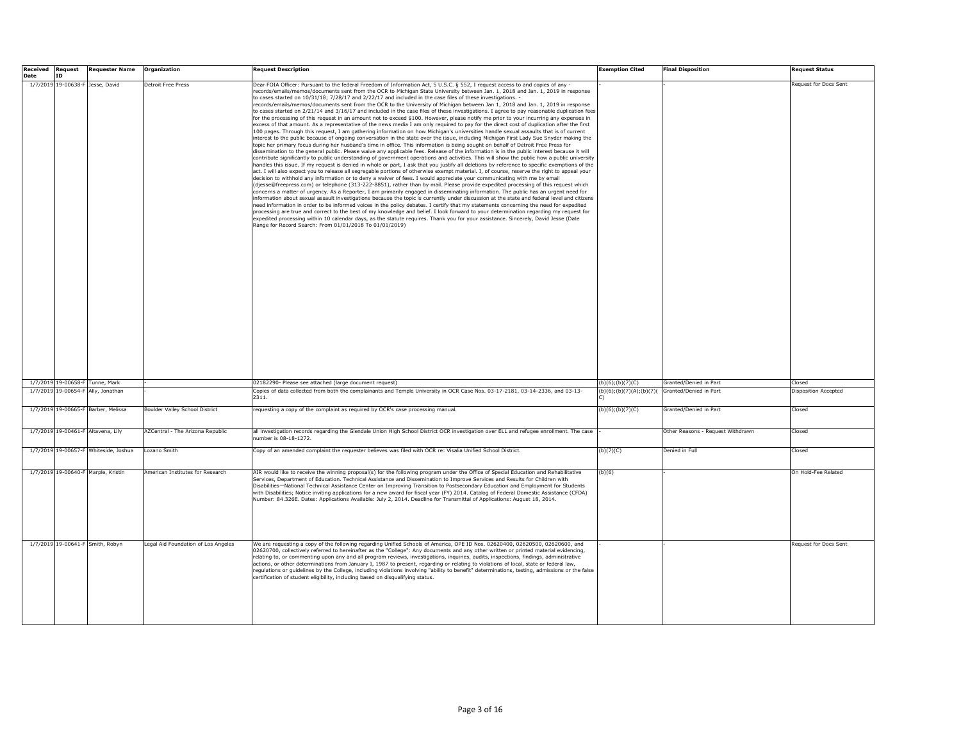| <b>Received</b> | <b>Request</b> | <b>Requester Name</b>                 | Organization                        | <b>Request Description</b>                                                                                                                                                                                                                                                                                                                                                                                                                                                                                                                                                                                                                                                                                                                                                                                                                                                                                                                                                                                                                                                                                                                                                                                                                                                                                                                                                                                                                                                                                                                                                                                                                                                                                                                                                                                                                                                                                                                                                                                                                                                                                                                                                                                                                                                                                                                                                                                                                                                                                                                                                                                                                                                                                                                                                                                                                                                                                                                                                                                              | <b>Exemption Cited</b>   | <b>Final Disposition</b>          | <b>Request Status</b> |
|-----------------|----------------|---------------------------------------|-------------------------------------|-------------------------------------------------------------------------------------------------------------------------------------------------------------------------------------------------------------------------------------------------------------------------------------------------------------------------------------------------------------------------------------------------------------------------------------------------------------------------------------------------------------------------------------------------------------------------------------------------------------------------------------------------------------------------------------------------------------------------------------------------------------------------------------------------------------------------------------------------------------------------------------------------------------------------------------------------------------------------------------------------------------------------------------------------------------------------------------------------------------------------------------------------------------------------------------------------------------------------------------------------------------------------------------------------------------------------------------------------------------------------------------------------------------------------------------------------------------------------------------------------------------------------------------------------------------------------------------------------------------------------------------------------------------------------------------------------------------------------------------------------------------------------------------------------------------------------------------------------------------------------------------------------------------------------------------------------------------------------------------------------------------------------------------------------------------------------------------------------------------------------------------------------------------------------------------------------------------------------------------------------------------------------------------------------------------------------------------------------------------------------------------------------------------------------------------------------------------------------------------------------------------------------------------------------------------------------------------------------------------------------------------------------------------------------------------------------------------------------------------------------------------------------------------------------------------------------------------------------------------------------------------------------------------------------------------------------------------------------------------------------------------------------|--------------------------|-----------------------------------|-----------------------|
| <b>Date</b>     | <b>ID</b>      |                                       |                                     |                                                                                                                                                                                                                                                                                                                                                                                                                                                                                                                                                                                                                                                                                                                                                                                                                                                                                                                                                                                                                                                                                                                                                                                                                                                                                                                                                                                                                                                                                                                                                                                                                                                                                                                                                                                                                                                                                                                                                                                                                                                                                                                                                                                                                                                                                                                                                                                                                                                                                                                                                                                                                                                                                                                                                                                                                                                                                                                                                                                                                         |                          |                                   |                       |
|                 |                | 1/7/2019 19-00638-F Jesse, David      | Detroit Free Press                  | Dear FOIA Officer: Pursuant to the federal Freedom of Information Act, 5 U.S.C. § 552, I request access to and copies of any -<br>records/emails/memos/documents sent from the OCR to Michigan State University between Jan. 1, 2018 and Jan. 1, 2019 in response<br>to cases started on 10/31/18; 7/28/17 and 2/22/17 and included in the case files of these investigations. -<br>ecords/emails/memos/documents sent from the OCR to the University of Michigan between Jan 1, 2018 and Jan. 1, 2019 in response<br>to cases started on 2/21/14 and 3/16/17 and included in the case files of these investigations. I agree to pay reasonable duplication fees<br>for the processing of this request in an amount not to exceed \$100. However, please notify me prior to your incurring any expenses in<br>excess of that amount. As a representative of the news media I am only required to pay for the direct cost of duplication after the first<br>100 pages. Through this request, I am gathering information on how Michigan's universities handle sexual assaults that is of current<br>interest to the public because of ongoing conversation in the state over the issue, including Michigan First Lady Sue Snyder making the<br>topic her primary focus during her husband's time in office. This information is being sought on behalf of Detroit Free Press for<br>dissemination to the general public. Please waive any applicable fees. Release of the information is in the public interest because it will<br>contribute significantly to public understanding of government operations and activities. This will show the public how a public university<br>handles this issue. If my request is denied in whole or part, I ask that you justify all deletions by reference to specific exemptions of the<br>act. I will also expect you to release all segregable portions of otherwise exempt material. I, of course, reserve the right to appeal your<br>decision to withhold any information or to deny a waiver of fees. I would appreciate your communicating with me by email<br>(djesse@freepress.com) or telephone (313-222-8851), rather than by mail. Please provide expedited processing of this request which<br>concerns a matter of urgency. As a Reporter, I am primarily engaged in disseminating information. The public has an urgent need for<br>nformation about sexual assault investigations because the topic is currently under discussion at the state and federal level and citizens<br>need information in order to be informed voices in the policy debates. I certify that my statements concerning the need for expedited<br>processing are true and correct to the best of my knowledge and belief. I look forward to your determination regarding my request for<br>expedited processing within 10 calendar days, as the statute requires. Thank you for your assistance. Sincerely, David Jesse (Date<br>Range for Record Search: From 01/01/2018 To 01/01/2019) |                          |                                   | equest for Docs Sent  |
|                 |                | 1/7/2019 19-00658-F Tunne, Mark       |                                     | 02182290- Please see attached (large document request)                                                                                                                                                                                                                                                                                                                                                                                                                                                                                                                                                                                                                                                                                                                                                                                                                                                                                                                                                                                                                                                                                                                                                                                                                                                                                                                                                                                                                                                                                                                                                                                                                                                                                                                                                                                                                                                                                                                                                                                                                                                                                                                                                                                                                                                                                                                                                                                                                                                                                                                                                                                                                                                                                                                                                                                                                                                                                                                                                                  | (b)(6); (b)(7)(C)        | Granted/Denied in Part            | Closed                |
|                 |                | 1/7/2019 19-00654-F Ally, Jonathan    |                                     | Copies of data collected from both the complainants and Temple University in OCR Case Nos. 03-17-2181, 03-14-2336, and 03-13-<br>2311.                                                                                                                                                                                                                                                                                                                                                                                                                                                                                                                                                                                                                                                                                                                                                                                                                                                                                                                                                                                                                                                                                                                                                                                                                                                                                                                                                                                                                                                                                                                                                                                                                                                                                                                                                                                                                                                                                                                                                                                                                                                                                                                                                                                                                                                                                                                                                                                                                                                                                                                                                                                                                                                                                                                                                                                                                                                                                  | (b)(6);(b)(7)(A);(b)(7)( | Granted/Denied in Part            | Disposition Accepted  |
|                 |                | 1/7/2019 19-00665-F Barber, Melissa   | Boulder Valley School District      | requesting a copy of the complaint as required by OCR's case processing manual.                                                                                                                                                                                                                                                                                                                                                                                                                                                                                                                                                                                                                                                                                                                                                                                                                                                                                                                                                                                                                                                                                                                                                                                                                                                                                                                                                                                                                                                                                                                                                                                                                                                                                                                                                                                                                                                                                                                                                                                                                                                                                                                                                                                                                                                                                                                                                                                                                                                                                                                                                                                                                                                                                                                                                                                                                                                                                                                                         | (b)(6); (b)(7)(C)        | Granted/Denied in Part            | Closed                |
|                 |                | 1/7/2019 19-00461-F Altavena, Lily    | AZCentral - The Arizona Republic    | all investigation records regarding the Glendale Union High School District OCR investigation over ELL and refugee enrollment. The case<br>umber is 08-18-1272.                                                                                                                                                                                                                                                                                                                                                                                                                                                                                                                                                                                                                                                                                                                                                                                                                                                                                                                                                                                                                                                                                                                                                                                                                                                                                                                                                                                                                                                                                                                                                                                                                                                                                                                                                                                                                                                                                                                                                                                                                                                                                                                                                                                                                                                                                                                                                                                                                                                                                                                                                                                                                                                                                                                                                                                                                                                         |                          | Other Reasons - Request Withdrawn | Closed                |
|                 |                | 1/7/2019 19-00657-F Whiteside, Joshua | Lozano Smith                        | Copy of an amended complaint the requester believes was filed with OCR re: Visalia Unified School District.                                                                                                                                                                                                                                                                                                                                                                                                                                                                                                                                                                                                                                                                                                                                                                                                                                                                                                                                                                                                                                                                                                                                                                                                                                                                                                                                                                                                                                                                                                                                                                                                                                                                                                                                                                                                                                                                                                                                                                                                                                                                                                                                                                                                                                                                                                                                                                                                                                                                                                                                                                                                                                                                                                                                                                                                                                                                                                             | (b)(7)(C)                | Denied in Full                    | Closed                |
|                 |                | 1/7/2019 19-00640-F Marple, Kristin   | American Institutes for Research    | AIR would like to receive the winning proposal(s) for the following program under the Office of Special Education and Rehabilitative<br>Services, Department of Education, Technical Assistance and Dissemination to Improve Services and Results for Children with<br>Disabilities-National Technical Assistance Center on Improving Transition to Postsecondary Education and Employment for Students<br>with Disabilities; Notice inviting applications for a new award for fiscal year (FY) 2014. Catalog of Federal Domestic Assistance (CFDA)<br>Number: 84.326E. Dates: Applications Available: July 2, 2014. Deadline for Transmittal of Applications: August 18, 2014.                                                                                                                                                                                                                                                                                                                                                                                                                                                                                                                                                                                                                                                                                                                                                                                                                                                                                                                                                                                                                                                                                                                                                                                                                                                                                                                                                                                                                                                                                                                                                                                                                                                                                                                                                                                                                                                                                                                                                                                                                                                                                                                                                                                                                                                                                                                                         | (b)(6)                   |                                   | On Hold-Fee Related   |
|                 |                | 1/7/2019 19-00641-F Smith, Robyn      | Legal Aid Foundation of Los Angeles | We are requesting a copy of the following regarding Unified Schools of America, OPE ID Nos. 02620400, 02620500, 02620600, and<br>02620700, collectively referred to hereinafter as the "College": Any documents and any other written or printed material evidencing,<br>elating to, or commenting upon any and all program reviews, investigations, inquiries, audits, inspections, findings, administrative<br>actions, or other determinations from January I, 1987 to present, regarding or relating to violations of local, state or federal law,<br>regulations or guidelines by the College, including violations involving "ability to benefit" determinations, testing, admissions or the false<br>certification of student eligibility, including based on disqualifying status.                                                                                                                                                                                                                                                                                                                                                                                                                                                                                                                                                                                                                                                                                                                                                                                                                                                                                                                                                                                                                                                                                                                                                                                                                                                                                                                                                                                                                                                                                                                                                                                                                                                                                                                                                                                                                                                                                                                                                                                                                                                                                                                                                                                                                              |                          |                                   | Request for Docs Sent |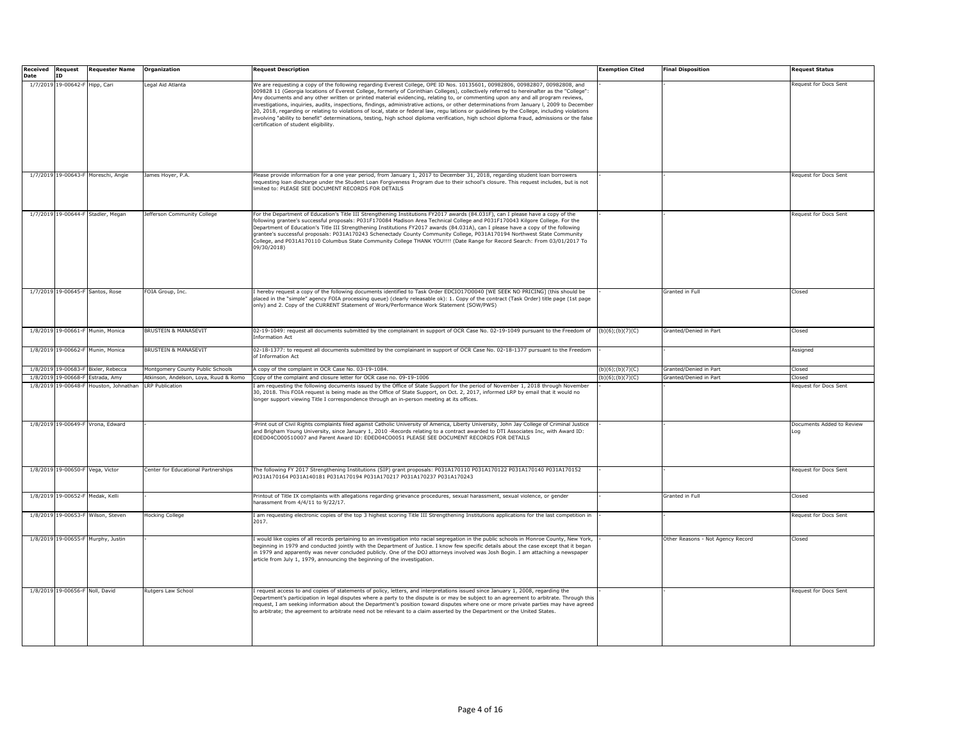| <b>Received Request</b><br>Date | TD.                             | <b>Requester Name</b>               | <b>Organization</b>                   | <b>Request Description</b>                                                                                                                                                                                                                                                                                                                                                                                                                                                                                                                                                                                                                                                                                                                                                                                                                                                                            | <b>Exemption Cited</b> | <b>Final Disposition</b>          | <b>Request Status</b>            |
|---------------------------------|---------------------------------|-------------------------------------|---------------------------------------|-------------------------------------------------------------------------------------------------------------------------------------------------------------------------------------------------------------------------------------------------------------------------------------------------------------------------------------------------------------------------------------------------------------------------------------------------------------------------------------------------------------------------------------------------------------------------------------------------------------------------------------------------------------------------------------------------------------------------------------------------------------------------------------------------------------------------------------------------------------------------------------------------------|------------------------|-----------------------------------|----------------------------------|
|                                 | 1/7/2019 19-00642-F Hipp, Cari  |                                     | egal Aid Atlanta                      | We are requesting a copy of the following regarding Everest College, OPE ID Nos. 10135601, 00982806, 00982807, 00982808, and<br>009828 11 (Georgia locations of Everest College, formerly of Corinthian Colleges), collectively referred to hereinafter as the "College":<br>Any documents and any other written or printed material evidencing, relating to, or commenting upon any and all program reviews,<br>investigations, inquiries, audits, inspections, findings, administrative actions, or other determinations from January I, 2009 to December<br>20, 2018, regarding or relating to violations of local, state or federal law, regu lations or guidelines by the College, including violations<br>involving "ability to benefit" determinations, testing, high school diploma verification, high school diploma fraud, admissions or the false<br>certification of student eligibility. |                        |                                   | Request for Docs Sent            |
|                                 |                                 | 1/7/2019 19-00643-F Moreschi, Angie | James Hoyer, P.A.                     | Please provide information for a one year period, from January 1, 2017 to December 31, 2018, regarding student loan borrowers<br>requesting loan discharge under the Student Loan Forgiveness Program due to their school's closure. This request includes, but is not<br>limited to: PLEASE SEE DOCUMENT RECORDS FOR DETAILS                                                                                                                                                                                                                                                                                                                                                                                                                                                                                                                                                                         |                        |                                   | Request for Docs Sent            |
|                                 |                                 | 1/7/2019 19-00644-F Stadler, Megan  | Jefferson Community College           | For the Department of Education's Title III Strengthening Institutions FY2017 awards (84.031F), can I please have a copy of the<br>following grantee's successful proposals: P031F170084 Madison Area Technical College and P031F170043 Kilgore College. For the<br>Department of Education's Title III Strengthening Institutions FY2017 awards (84.031A), can I please have a copy of the following<br>grantee's successful proposals: P031A170243 Schenectady County Community College, P031A170194 Northwest State Community<br>College, and P031A170110 Columbus State Community College THANK YOU!!!! (Date Range for Record Search: From 03/01/2017 To<br>09/30/2018)                                                                                                                                                                                                                          |                        |                                   | Request for Docs Sent            |
|                                 |                                 | 1/7/2019 19-00645-F Santos, Rose    | FOIA Group, Inc.                      | I hereby request a copy of the following documents identified to Task Order EDCIO1700040 [WE SEEK NO PRICING] (this should be<br>placed in the "simple" agency FOIA processing queue) (clearly releasable ok): 1. Copy of the contract (Task Order) title page (1st page<br>only) and 2. Copy of the CURRENT Statement of Work/Performance Work Statement (SOW/PWS)                                                                                                                                                                                                                                                                                                                                                                                                                                                                                                                                   |                        | Granted in Full                   | Closed                           |
|                                 |                                 | 1/8/2019 19-00661-F Munin, Monica   | BRUSTEIN & MANASEVIT                  | 02-19-1049: request all documents submitted by the complainant in support of OCR Case No. 02-19-1049 pursuant to the Freedom of<br><b>Information Act</b>                                                                                                                                                                                                                                                                                                                                                                                                                                                                                                                                                                                                                                                                                                                                             | (b)(6); (b)(7)(C)      | Granted/Denied in Part            | Closed                           |
|                                 |                                 | 1/8/2019 19-00662-F Munin, Monica   | <b>BRUSTEIN &amp; MANASEVIT</b>       | 02-18-1377: to request all documents submitted by the complainant in support of OCR Case No. 02-18-1377 pursuant to the Freedom<br>of Information Act                                                                                                                                                                                                                                                                                                                                                                                                                                                                                                                                                                                                                                                                                                                                                 |                        |                                   | Assigned                         |
|                                 |                                 | 1/8/2019 19-00683-F Bixler, Rebecca | Montgomery County Public Schools      | A copy of the complaint in OCR Case No. 03-19-1084.                                                                                                                                                                                                                                                                                                                                                                                                                                                                                                                                                                                                                                                                                                                                                                                                                                                   | (b)(6);(b)(7)(C)       | Granted/Denied in Part            | Closed                           |
| 1/8/2019                        | 19-00668-F                      | Estrada, Amy                        | Atkinson, Andelson, Loya, Ruud & Romo | Copy of the complaint and closure letter for OCR case no. 09-19-1006                                                                                                                                                                                                                                                                                                                                                                                                                                                                                                                                                                                                                                                                                                                                                                                                                                  | $(b)(6)$ ;(b)(7)(C)    | Granted/Denied in Part            | Closed                           |
| 1/8/2019                        | 19-00648-F                      | louston, Johnathan                  | <b>LRP Publication</b>                | am requesting the following documents issued by the Office of State Support for the period of November 1, 2018 through November<br>30, 2018. This FOIA request is being made as the Office of State Support, on Oct. 2, 2017, informed LRP by email that it would no<br>longer support viewing Title I correspondence through an in-person meeting at its offices.                                                                                                                                                                                                                                                                                                                                                                                                                                                                                                                                    |                        |                                   | Request for Docs Sent            |
|                                 |                                 | 1/8/2019 19-00649-F Vrona, Edward   |                                       | Print out of Civil Rights complaints filed against Catholic University of America, Liberty University, John Jay College of Criminal Justice<br>and Brigham Young University, since January 1, 2010 -Records relating to a contract awarded to DTI Associates Inc, with Award ID:<br>EDED04CO00510007 and Parent Award ID: EDED04CO0051 PLEASE SEE DOCUMENT RECORDS FOR DETAILS                                                                                                                                                                                                                                                                                                                                                                                                                                                                                                                        |                        |                                   | Documents Added to Review<br>.oq |
|                                 |                                 | 1/8/2019 19-00650-F Vega, Victor    | Center for Educational Partnerships   | The following FY 2017 Strengthening Institutions (SIP) grant proposals: P031A170110 P031A170122 P031A170140 P031A170152<br>P031A170164 P031A140181 P031A170194 P031A170217 P031A170237 P031A170243                                                                                                                                                                                                                                                                                                                                                                                                                                                                                                                                                                                                                                                                                                    |                        |                                   | Request for Docs Sent            |
|                                 |                                 | 1/8/2019 19-00652-F Medak, Kelli    |                                       | Printout of Title IX complaints with allegations regarding grievance procedures, sexual harassment, sexual violence, or gender<br>harassment from 4/4/11 to 9/22/17.                                                                                                                                                                                                                                                                                                                                                                                                                                                                                                                                                                                                                                                                                                                                  |                        | Granted in Full                   | Closed                           |
|                                 |                                 | 1/8/2019 19-00653-F Wilson, Steven  | Hocking College                       | I am requesting electronic copies of the top 3 highest scoring Title III Strengthening Institutions applications for the last competition in<br>2017.                                                                                                                                                                                                                                                                                                                                                                                                                                                                                                                                                                                                                                                                                                                                                 |                        |                                   | Request for Docs Sent            |
|                                 |                                 | 1/8/2019 19-00655-F Murphy, Justin  |                                       | would like copies of all records pertaining to an investigation into racial segregation in the public schools in Monroe County, New York,<br>beginning in 1979 and conducted jointly with the Department of Justice. I know few specific details about the case except that it began<br>in 1979 and apparently was never concluded publicly. One of the DOJ attorneys involved was Josh Bogin. I am attaching a newspaper<br>article from July 1, 1979, announcing the beginning of the investigation.                                                                                                                                                                                                                                                                                                                                                                                                |                        | Other Reasons - Not Agency Record | Closed                           |
|                                 | 1/8/2019 19-00656-F Noll, David |                                     | Rutgers Law School                    | request access to and copies of statements of policy, letters, and interpretations issued since January 1, 2008, regarding the<br>Department's participation in legal disputes where a party to the dispute is or may be subject to an agreement to arbitrate. Through this<br>request, I am seeking information about the Department's position toward disputes where one or more private parties may have agreed<br>to arbitrate; the agreement to arbitrate need not be relevant to a claim asserted by the Department or the United States.                                                                                                                                                                                                                                                                                                                                                       |                        |                                   | Request for Docs Sent            |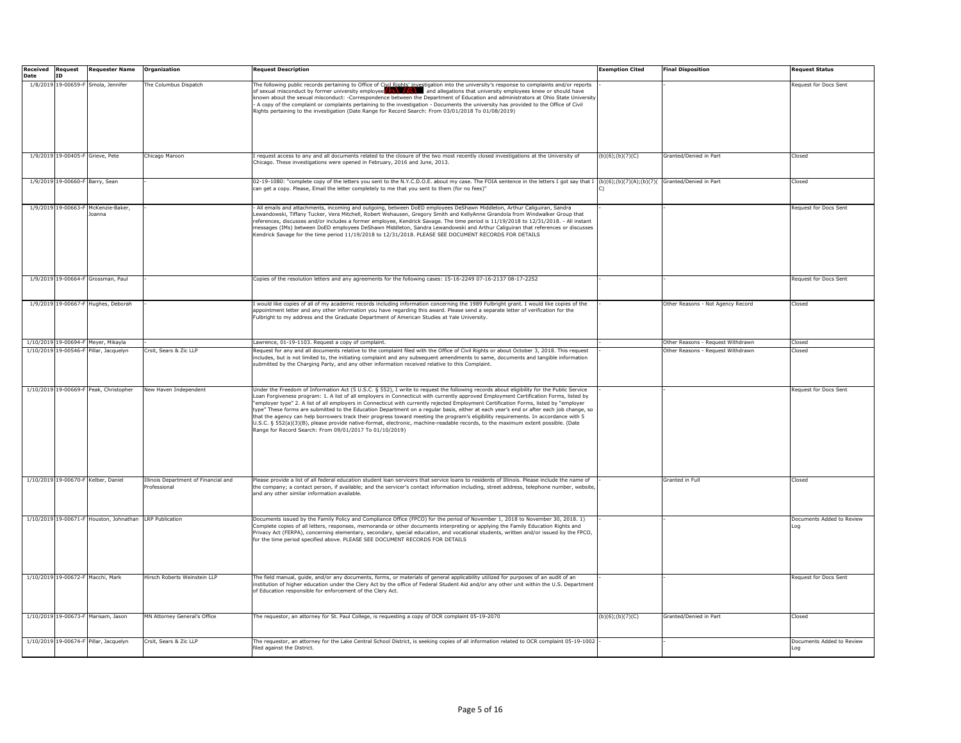| <b>Received Request</b> |                                 | <b>Requester Name</b>                                   | Organization                                         | <b>Request Description</b>                                                                                                                                                                                                                                                                                                                                                                                                                                                                                                                                                                                                                                                                                                                                                                                                                                                                                | <b>Exemption Cited</b> | <b>Final Disposition</b>          | Request Status                   |
|-------------------------|---------------------------------|---------------------------------------------------------|------------------------------------------------------|-----------------------------------------------------------------------------------------------------------------------------------------------------------------------------------------------------------------------------------------------------------------------------------------------------------------------------------------------------------------------------------------------------------------------------------------------------------------------------------------------------------------------------------------------------------------------------------------------------------------------------------------------------------------------------------------------------------------------------------------------------------------------------------------------------------------------------------------------------------------------------------------------------------|------------------------|-----------------------------------|----------------------------------|
| Date                    | <b>ID</b>                       |                                                         |                                                      |                                                                                                                                                                                                                                                                                                                                                                                                                                                                                                                                                                                                                                                                                                                                                                                                                                                                                                           |                        |                                   |                                  |
|                         |                                 | 1/8/2019 19-00659-F Smola, Jennifer                     | The Columbus Dispatch                                | The following public records pertaining to Office of Civil Rights' investigation into the university's response to complaints and/or reports of sexual misconduct by former university employee knew or should have<br>known about the sexual misconduct: -Correspondence between the Department of Education and administrators at Ohio State University<br>A copy of the complaint or complaints pertaining to the investigation - Documents the university has provided to the Office of Civil<br>Rights pertaining to the investigation (Date Range for Record Search: From 03/01/2018 To 01/08/2019)                                                                                                                                                                                                                                                                                                 |                        |                                   | Request for Docs Sent            |
|                         |                                 |                                                         |                                                      |                                                                                                                                                                                                                                                                                                                                                                                                                                                                                                                                                                                                                                                                                                                                                                                                                                                                                                           |                        |                                   |                                  |
|                         |                                 | 1/9/2019 19-00405-F Grieve, Pete                        | Chicago Maroon                                       | request access to any and all documents related to the closure of the two most recently closed investigations at the University of<br>Chicago. These investigations were opened in February, 2016 and June, 2013.                                                                                                                                                                                                                                                                                                                                                                                                                                                                                                                                                                                                                                                                                         | (b)(6); (b)(7)(C)      | Granted/Denied in Part            | Closed                           |
|                         | 1/9/2019 19-00660-F Barry, Sean |                                                         |                                                      | 02-19-1080: "complete copy of the letters you sent to the N.Y.C.D.O.E. about my case. The FOIA sentence in the letters I got say that I (b)(6);(b)(7)(A);(b)(7)();(b)(7)( Granted/Denied in Part<br>can get a copy. Please, Email the letter completely to me that you sent to them (for no fees)"                                                                                                                                                                                                                                                                                                                                                                                                                                                                                                                                                                                                        |                        |                                   | Closed                           |
|                         |                                 | 1/9/2019 19-00663-F McKenzie-Baker,<br>loanna           |                                                      | All emails and attachments, incoming and outgoing, between DoED employees DeShawn Middleton, Arthur Caliguiran, Sandra<br>Lewandowski, Tiffany Tucker, Vera Mitchell, Robert Wehausen, Gregory Smith and KellyAnne Girandola from Windwalker Group that<br>references, discusses and/or includes a former employee, Kendrick Savage. The time period is 11/19/2018 to 12/31/2018. - All instant<br>messages (IMs) between DoED employees DeShawn Middleton, Sandra Lewandowski and Arthur Caliguiran that references or discusses<br>Kendrick Savage for the time period 11/19/2018 to 12/31/2018. PLEASE SEE DOCUMENT RECORDS FOR DETAILS                                                                                                                                                                                                                                                                |                        |                                   | Request for Docs Sent            |
|                         |                                 | 1/9/2019 19-00664-F Grossman, Paul                      |                                                      | Copies of the resolution letters and any agreements for the following cases: 15-16-2249 07-16-2137 08-17-2252                                                                                                                                                                                                                                                                                                                                                                                                                                                                                                                                                                                                                                                                                                                                                                                             |                        |                                   | Request for Docs Sent            |
|                         |                                 | 1/9/2019 19-00667-F Hughes, Deborah                     |                                                      | i would like copies of all of my academic records including information concerning the 1989 Fulbright grant. I would like copies of the<br>appointment letter and any other information you have regarding this award. Please send a separate letter of verification for the<br>-ulbright to my address and the Graduate Department of American Studies at Yale University.                                                                                                                                                                                                                                                                                                                                                                                                                                                                                                                               |                        | Other Reasons - Not Agency Record | Closed                           |
|                         |                                 | 1/10/2019 19-00694-F Meyer, Mikayla                     |                                                      | Lawrence, 01-19-1103. Request a copy of complaint.                                                                                                                                                                                                                                                                                                                                                                                                                                                                                                                                                                                                                                                                                                                                                                                                                                                        |                        | Other Reasons - Request Withdrawn | Closed                           |
|                         | 1/10/2019 19-00546-F            | Pillar, Jacquelyn                                       | Crsit, Sears & Zic LLP                               | Request for any and all documents relative to the complaint filed with the Office of Civil Rights or about October 3, 2018. This request<br>includes, but is not limited to, the initiating complaint and any subsequent amendments to same, documents and tangible information<br>submitted by the Charging Party, and any other information received relative to this Complaint.                                                                                                                                                                                                                                                                                                                                                                                                                                                                                                                        |                        | Other Reasons - Request Withdrawn | Closed                           |
|                         |                                 | 1/10/2019 19-00669-F Peak, Christopher                  | New Haven Independent                                | Under the Freedom of Information Act (5 U.S.C. § 552), I write to request the following records about eligibility for the Public Service<br>oan Forgiveness program: 1. A list of all employers in Connecticut with currently approved Employment Certification Forms, listed by<br>employer type" 2. A list of all employers in Connecticut with currently rejected Employment Certification Forms, listed by "employer"<br>type" These forms are submitted to the Education Department on a regular basis, either at each year's end or after each job change, so<br>that the agency can help borrowers track their progress toward meeting the program's eligibility reguirements. In accordance with 5<br>U.S.C. § 552(a)(3)(B), please provide native-format, electronic, machine-readable records, to the maximum extent possible. (Date<br>Range for Record Search: From 09/01/2017 To 01/10/2019) |                        |                                   | Request for Docs Sent            |
|                         |                                 | 1/10/2019 19-00670-F Kelber, Daniel                     | Illinois Department of Financial and<br>Professional | Please provide a list of all federal education student loan servicers that service loans to residents of Illinois. Please include the name of<br>the company; a contact person, if available; and the servicer's contact information including, street address, telephone number, website,<br>and any other similar information available.                                                                                                                                                                                                                                                                                                                                                                                                                                                                                                                                                                |                        | Granted in Full                   | Closed                           |
|                         |                                 | 1/10/2019 19-00671-F Houston, Johnathan LRP Publication |                                                      | Documents issued by the Family Policy and Compliance Office (FPCO) for the period of November 1, 2018 to November 30, 2018. 1)<br>Complete copies of all letters, responses, memoranda or other documents interpreting or applying the Family Education Rights and<br>Privacy Act (FERPA), concerning elementary, secondary, special education, and vocational students, written and/or issued by the FPCO,<br>for the time period specified above. PLEASE SEE DOCUMENT RECORDS FOR DETAILS                                                                                                                                                                                                                                                                                                                                                                                                               |                        |                                   | Documents Added to Review        |
|                         |                                 | 1/10/2019 19-00672-F Macchi, Mark                       | Hirsch Roberts Weinstein LLP                         | The field manual, quide, and/or any documents, forms, or materials of general applicability utilized for purposes of an audit of an<br>institution of higher education under the Clery Act by the office of Federal Student Aid and/or any other unit within the U.S. Department<br>of Education responsible for enforcement of the Clery Act.                                                                                                                                                                                                                                                                                                                                                                                                                                                                                                                                                            |                        |                                   | Request for Docs Sent            |
|                         |                                 | 1/10/2019 19-00673-F Marisam, Jason                     | MN Attorney General's Office                         | The requestor, an attorney for St. Paul College, is requesting a copy of OCR complaint 05-19-2070                                                                                                                                                                                                                                                                                                                                                                                                                                                                                                                                                                                                                                                                                                                                                                                                         | (b)(6); (b)(7)(C)      | Granted/Denied in Part            | Closed                           |
|                         |                                 | 1/10/2019 19-00674-F Pillar, Jacquelyn                  | Crsit, Sears & Zic LLP                               | The requestor, an attorney for the Lake Central School District, is seeking copies of all information related to OCR complaint 05-19-1002<br>filed against the District.                                                                                                                                                                                                                                                                                                                                                                                                                                                                                                                                                                                                                                                                                                                                  |                        |                                   | Documents Added to Review<br>po. |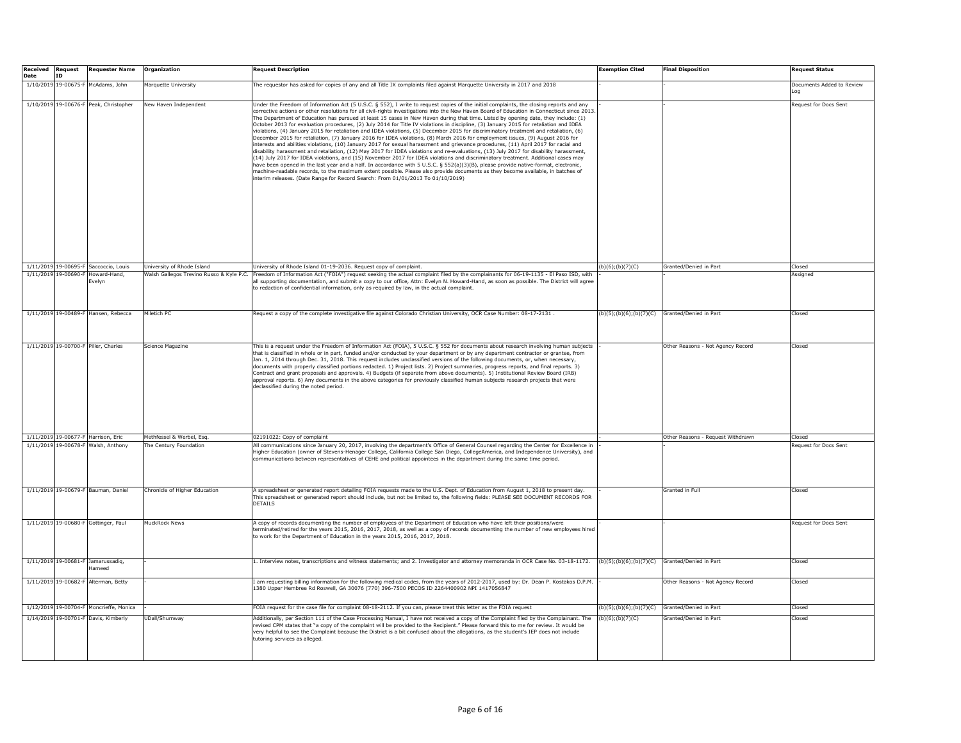| <b>Received Request</b><br>Date | ID         | <b>Requester Name</b>                        | Organization                             | Request Description                                                                                                                                                                                                                                                                                                                                                                                                                                                                                                                                                                                                                                                                                                                                                                                                                                                                                                                                                                                                                                                                                                                                                                                                                                                                                                                                                                                                                                                                                                                                                                                                                 | <b>Exemption Cited</b>                                   | <b>Final Disposition</b>          | <b>Request Status</b>        |
|---------------------------------|------------|----------------------------------------------|------------------------------------------|-------------------------------------------------------------------------------------------------------------------------------------------------------------------------------------------------------------------------------------------------------------------------------------------------------------------------------------------------------------------------------------------------------------------------------------------------------------------------------------------------------------------------------------------------------------------------------------------------------------------------------------------------------------------------------------------------------------------------------------------------------------------------------------------------------------------------------------------------------------------------------------------------------------------------------------------------------------------------------------------------------------------------------------------------------------------------------------------------------------------------------------------------------------------------------------------------------------------------------------------------------------------------------------------------------------------------------------------------------------------------------------------------------------------------------------------------------------------------------------------------------------------------------------------------------------------------------------------------------------------------------------|----------------------------------------------------------|-----------------------------------|------------------------------|
|                                 |            | 1/10/2019 19-00675-F McAdams, John           | Marquette University                     | The requestor has asked for copies of any and all Title IX complaints filed against Marquette University in 2017 and 2018                                                                                                                                                                                                                                                                                                                                                                                                                                                                                                                                                                                                                                                                                                                                                                                                                                                                                                                                                                                                                                                                                                                                                                                                                                                                                                                                                                                                                                                                                                           |                                                          |                                   | Occuments Added to Review    |
|                                 |            |                                              |                                          |                                                                                                                                                                                                                                                                                                                                                                                                                                                                                                                                                                                                                                                                                                                                                                                                                                                                                                                                                                                                                                                                                                                                                                                                                                                                                                                                                                                                                                                                                                                                                                                                                                     |                                                          |                                   | .oa                          |
|                                 |            | 1/10/2019 19-00676-F Peak, Christopher       | New Haven Independent                    | Under the Freedom of Information Act (5 U.S.C. § 552), I write to request copies of the initial complaints, the closing reports and any<br>corrective actions or other resolutions for all civil-rights investigations into the New Haven Board of Education in Connecticut since 2013.<br>The Department of Education has pursued at least 15 cases in New Haven during that time. Listed by opening date, they include: (1)<br>October 2013 for evaluation procedures, (2) July 2014 for Title IV violations in discipline, (3) January 2015 for retaliation and IDEA<br>violations, (4) January 2015 for retaliation and IDEA violations, (5) December 2015 for discriminatory treatment and retaliation, (6)<br>December 2015 for retaliation, (7) January 2016 for IDEA violations, (8) March 2016 for employment issues, (9) August 2016 for<br>nterests and abilities violations, (10) January 2017 for sexual harassment and grievance procedures, (11) April 2017 for racial and<br>disability harassment and retaliation, (12) May 2017 for IDEA violations and re-evaluations, (13) July 2017 for disability harassment,<br>(14) July 2017 for IDEA violations, and (15) November 2017 for IDEA violations and discriminatory treatment. Additional cases may<br>ave been opened in the last year and a half. In accordance with 5 U.S.C. § 552(a)(3)(B), please provide native-format, electronic,<br>machine-readable records, to the maximum extent possible. Please also provide documents as they become available, in batches of<br>nterim releases. (Date Range for Record Search: From 01/01/2013 To 01/10/2019) |                                                          |                                   | Request for Docs Sent        |
|                                 |            | 1/11/2019 19-00695-F Saccoccio, Louis        | University of Rhode Island               | Jniversity of Rhode Island 01-19-2036. Request copy of complaint.                                                                                                                                                                                                                                                                                                                                                                                                                                                                                                                                                                                                                                                                                                                                                                                                                                                                                                                                                                                                                                                                                                                                                                                                                                                                                                                                                                                                                                                                                                                                                                   | (b)(6); (b)(7)(C)                                        | Granted/Denied in Part            | Closed                       |
| 1/11/2019                       | 19-00690-F | loward-Hand,<br>velvn                        | Walsh Gallegos Trevino Russo & Kyle P.C. | reedom of Information Act ("FOIA") request seeking the actual complaint filed by the complainants for 06-19-1135 - El Paso ISD, with<br>all supporting documentation, and submit a copy to our office, Attn: Evelyn N. Howard-Hand, as soon as possible. The District will agree<br>to redaction of confidential information, only as required by law, in the actual complaint.                                                                                                                                                                                                                                                                                                                                                                                                                                                                                                                                                                                                                                                                                                                                                                                                                                                                                                                                                                                                                                                                                                                                                                                                                                                     |                                                          |                                   | Assigned                     |
|                                 |            | 1/11/2019 19-00489-F Hansen, Rebecca         | Miletich PC                              | 2. Request a copy of the complete investigative file against Colorado Christian University, OCR Case Number: 08-17-2131                                                                                                                                                                                                                                                                                                                                                                                                                                                                                                                                                                                                                                                                                                                                                                                                                                                                                                                                                                                                                                                                                                                                                                                                                                                                                                                                                                                                                                                                                                             | $(b)(5)$ ; $(b)(6)$ ; $(b)(7)(C)$ Granted/Denied in Part |                                   | Closed                       |
|                                 |            | 1/11/2019 19-00700-F Piller, Charles         | Science Magazine                         | This is a request under the Freedom of Information Act (FOIA), 5 U.S.C. § 552 for documents about research involving human subjects<br>that is classified in whole or in part, funded and/or conducted by your department or by any department contractor or grantee, from<br>Jan. 1, 2014 through Dec. 31, 2018. This request includes unclassified versions of the following documents, or, when necessary,<br>documents with properly classified portions redacted. 1) Project lists. 2) Project summaries, progress reports, and final reports. 3)<br>Contract and grant proposals and approvals. 4) Budgets (if separate from above documents). 5) Institutional Review Board (IRB)<br>approval reports. 6) Any documents in the above categories for previously classified human subjects research projects that were<br>declassified during the noted period.                                                                                                                                                                                                                                                                                                                                                                                                                                                                                                                                                                                                                                                                                                                                                                |                                                          | Other Reasons - Not Agency Record | Closed                       |
|                                 |            | 1/11/2019 19-00677-F Harrison, Eric          | Methfessel & Werbel, Esq.                | 02191022: Copy of complaint                                                                                                                                                                                                                                                                                                                                                                                                                                                                                                                                                                                                                                                                                                                                                                                                                                                                                                                                                                                                                                                                                                                                                                                                                                                                                                                                                                                                                                                                                                                                                                                                         |                                                          | Other Reasons - Request Withdrawn | Closed                       |
| 1/11/2019                       | 19-00678-F | Walsh, Anthony                               | he Century Foundation                    | All communications since January 20, 2017, involving the department's Office of General Counsel regarding the Center for Excellence in<br>ligher Education (owner of Stevens-Henager College, California College San Diego, CollegeAmerica, and Independence University), and<br>communications between representatives of CEHE and political appointees in the department during the same time period.                                                                                                                                                                                                                                                                                                                                                                                                                                                                                                                                                                                                                                                                                                                                                                                                                                                                                                                                                                                                                                                                                                                                                                                                                             |                                                          |                                   | <b>Leauest for Docs Sent</b> |
|                                 |            | 1/11/2019 19-00679-F Bauman, Daniel          | Chronicle of Higher Education            | A spreadsheet or generated report detailing FOIA requests made to the U.S. Dept. of Education from August 1, 2018 to present day.<br>This spreadsheet or generated report should include, but not be limited to, the following fields: PLEASE SEE DOCUMENT RECORDS FOR<br><b>DETAILS</b>                                                                                                                                                                                                                                                                                                                                                                                                                                                                                                                                                                                                                                                                                                                                                                                                                                                                                                                                                                                                                                                                                                                                                                                                                                                                                                                                            |                                                          | Granted in Full                   | Closed                       |
|                                 |            | 1/11/2019 19-00680-F Gottinger, Paul         | <b>MuckRock News</b>                     | A copy of records documenting the number of employees of the Department of Education who have left their positions/were<br>erminated/retired for the years 2015, 2016, 2017, 2018, as well as a copy of records documenting the number of new employees hired<br>to work for the Department of Education in the years 2015, 2016, 2017, 2018.                                                                                                                                                                                                                                                                                                                                                                                                                                                                                                                                                                                                                                                                                                                                                                                                                                                                                                                                                                                                                                                                                                                                                                                                                                                                                       |                                                          |                                   | <b>Request for Docs Sent</b> |
|                                 |            | 1/11/2019 19-00681-F Jamarussadig,<br>lameed |                                          | 1. Interview notes, transcriptions and witness statements; and 2. Investigator and attorney memoranda in OCR Case No. 03-18-1172.                                                                                                                                                                                                                                                                                                                                                                                                                                                                                                                                                                                                                                                                                                                                                                                                                                                                                                                                                                                                                                                                                                                                                                                                                                                                                                                                                                                                                                                                                                   | $(b)(5)$ ; $(b)(6)$ ; $(b)(7)(C)$ Granted/Denied in Part |                                   | Closed                       |
|                                 |            | 1/11/2019 19-00682-F Alterman, Betty         |                                          | I am requesting billing information for the following medical codes, from the years of 2012-2017, used by: Dr. Dean P. Kostakos D.P.M.<br>1380 Upper Hembree Rd Roswell, GA 30076 (770) 396-7500 PECOS ID 2264400902 NPI 1417056847                                                                                                                                                                                                                                                                                                                                                                                                                                                                                                                                                                                                                                                                                                                                                                                                                                                                                                                                                                                                                                                                                                                                                                                                                                                                                                                                                                                                 |                                                          | Other Reasons - Not Agency Record | Closed                       |
|                                 |            | 1/12/2019 19-00704-F Moncrieffe, Monica      |                                          | FOIA request for the case file for complaint 08-18-2112. If you can, please treat this letter as the FOIA request                                                                                                                                                                                                                                                                                                                                                                                                                                                                                                                                                                                                                                                                                                                                                                                                                                                                                                                                                                                                                                                                                                                                                                                                                                                                                                                                                                                                                                                                                                                   | (b)(5); (b)(6); (b)(7)(C)                                | Granted/Denied in Part            | Closed                       |
|                                 |            | 1/14/2019 19-00701-F Davis, Kimberly         | UDall/Shumway                            | Additionally, per Section 111 of the Case Processing Manual, I have not received a copy of the Complaint filed by the Complainant. The<br>revised CPM states that "a copy of the complaint will be provided to the Recipient." Please forward this to me for review. It would be<br>ery helpful to see the Complaint because the District is a bit confused about the allegations, as the student's IEP does not include<br>tutoring services as alleged.                                                                                                                                                                                                                                                                                                                                                                                                                                                                                                                                                                                                                                                                                                                                                                                                                                                                                                                                                                                                                                                                                                                                                                           | (b)(6); (b)(7)(C)                                        | Granted/Denied in Part            | Closed                       |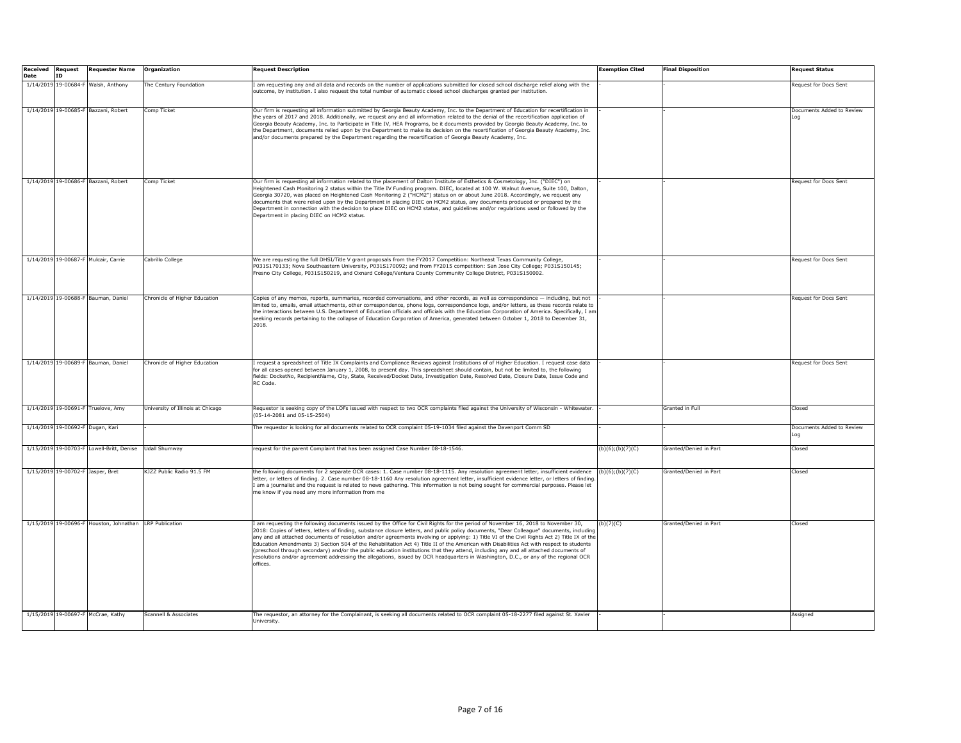| <b>Received Request</b><br>Date | <b>ID</b> | <b>Requester Name</b>                                   | Organization                      | <b>Request Description</b>                                                                                                                                                                                                                                                                                                                                                                                                                                                                                                                                                                                                                                                                                                                                                                                                                                             | <b>Exemption Cited</b> | <b>Final Disposition</b> | <b>Request Status</b>            |
|---------------------------------|-----------|---------------------------------------------------------|-----------------------------------|------------------------------------------------------------------------------------------------------------------------------------------------------------------------------------------------------------------------------------------------------------------------------------------------------------------------------------------------------------------------------------------------------------------------------------------------------------------------------------------------------------------------------------------------------------------------------------------------------------------------------------------------------------------------------------------------------------------------------------------------------------------------------------------------------------------------------------------------------------------------|------------------------|--------------------------|----------------------------------|
|                                 |           | 1/14/2019 19-00684-F Walsh, Anthony                     | The Century Foundation            | I am requesting any and all data and records on the number of applications submitted for closed school discharge relief along with the<br>outcome, by institution. I also request the total number of automatic closed school discharges granted per institution.                                                                                                                                                                                                                                                                                                                                                                                                                                                                                                                                                                                                      |                        |                          | Request for Docs Sent            |
|                                 |           | 1/14/2019 19-00685-F Bazzani, Robert                    | Comp Ticket                       | Our firm is requesting all information submitted by Georgia Beauty Academy, Inc. to the Department of Education for recertification in<br>the years of 2017 and 2018. Additionally, we request any and all information related to the denial of the recertification application of<br>Georgia Beauty Academy, Inc. to Participate in Title IV, HEA Programs, be it documents provided by Georgia Beauty Academy, Inc. to<br>the Department, documents relied upon by the Department to make its decision on the recertification of Georgia Beauty Academy, Inc.<br>and/or documents prepared by the Department regarding the recertification of Georgia Beauty Academy, Inc.                                                                                                                                                                                           |                        |                          | Documents Added to Review<br>Loa |
|                                 |           | 1/14/2019 19-00686-F Bazzani, Robert                    | Comp Ticket                       | Our firm is requesting all information related to the placement of Dalton Institute of Esthetics & Cosmetology, Inc. ("DIEC") on<br>Heightened Cash Monitoring 2 status within the Title IV Funding program. DIEC, located at 100 W. Walnut Avenue, Suite 100, Dalton,<br>Georgia 30720, was placed on Heightened Cash Monitoring 2 ("HCM2") status on or about June 2018. Accordingly, we request any<br>documents that were relied upon by the Department in placing DIEC on HCM2 status, any documents produced or prepared by the<br>Department in connection with the decision to place DIEC on HCM2 status, and quidelines and/or requlations used or followed by the<br>Department in placing DIEC on HCM2 status.                                                                                                                                              |                        |                          | Request for Docs Sent            |
|                                 |           | 1/14/2019 19-00687-F Mulcair, Carrie                    | Cabrillo College                  | We are requesting the full DHSI/Title V grant proposals from the FY2017 Competition: Northeast Texas Community College,<br>P031S170133; Nova Southeastern University, P031S170092; and from FY2015 competition: San Jose City College; P031S150145;<br>Fresno City College, P031S150219, and Oxnard College/Ventura County Community College District, P031S150002.                                                                                                                                                                                                                                                                                                                                                                                                                                                                                                    |                        |                          | Request for Docs Sent            |
|                                 |           | 1/14/2019 19-00688-F Bauman, Daniel                     | Chronicle of Higher Education     | Copies of any memos, reports, summaries, recorded conversations, and other records, as well as correspondence - including, but not<br>limited to, emails, email attachments, other correspondence, phone logs, correspondence logs, and/or letters, as these records relate to<br>the interactions between U.S. Department of Education officials and officials with the Education Corporation of America. Specifically, I am<br>seeking records pertaining to the collapse of Education Corporation of America, generated between October 1, 2018 to December 31,<br>2018.                                                                                                                                                                                                                                                                                            |                        |                          | Request for Docs Sent            |
|                                 |           | 1/14/2019 19-00689-F Bauman, Daniel                     | Chronicle of Higher Education     | I request a spreadsheet of Title IX Complaints and Compliance Reviews against Institutions of of Higher Education. I request case data<br>for all cases opened between January 1, 2008, to present day. This spreadsheet should contain, but not be limited to, the following<br>fields: DocketNo, RecipientName, City, State, Received/Docket Date, Investigation Date, Resolved Date, Closure Date, Issue Code and<br>RC Code.                                                                                                                                                                                                                                                                                                                                                                                                                                       |                        |                          | Request for Docs Sent            |
|                                 |           | 1/14/2019 19-00691-F Truelove, Amy                      | University of Illinois at Chicago | Requestor is seeking copy of the LOFs issued with respect to two OCR complaints filed against the University of Wisconsin - Whitewater.<br>(05-14-2081 and 05-15-2504)                                                                                                                                                                                                                                                                                                                                                                                                                                                                                                                                                                                                                                                                                                 |                        | Granted in Full          | Closed                           |
|                                 |           | 1/14/2019 19-00692-F Dugan, Kari                        |                                   | The requestor is looking for all documents related to OCR complaint 05-19-1034 filed against the Davenport Comm SD                                                                                                                                                                                                                                                                                                                                                                                                                                                                                                                                                                                                                                                                                                                                                     |                        |                          | Documents Added to Review<br>.oa |
|                                 |           | 1/15/2019 19-00703-F Lowell-Britt, Denise               | <b>Udall Shumway</b>              | request for the parent Complaint that has been assigned Case Number 08-18-1546.                                                                                                                                                                                                                                                                                                                                                                                                                                                                                                                                                                                                                                                                                                                                                                                        | (b)(6); (b)(7)(C)      | Granted/Denied in Part   | Closed                           |
|                                 |           | 1/15/2019 19-00702-F Jasper, Bret                       | KJZZ Public Radio 91.5 FM         | the following documents for 2 separate OCR cases: 1. Case number 08-18-1115. Any resolution agreement letter, insufficient evidence (b)(6);(b)(7)(C)<br>letter, or letters of finding. 2. Case number 08-18-1160 Any resolution agreement letter, insufficient evidence letter, or letters of finding<br>I am a journalist and the request is related to news gathering. This information is not being sought for commercial purposes. Please let<br>me know if you need any more information from me                                                                                                                                                                                                                                                                                                                                                                  |                        | Granted/Denied in Part   | Closed                           |
|                                 |           | 1/15/2019 19-00696-F Houston, Johnathan LRP Publication |                                   | I am requesting the following documents issued by the Office for Civil Rights for the period of November 16, 2018 to November 30,<br>2018: Copies of letters, letters of finding, substance closure letters, and public policy documents, "Dear Colleague" documents, including<br>any and all attached documents of resolution and/or agreements involving or applying: 1) Title VI of the Civil Rights Act 2) Title IX of the<br>Education Amendments 3) Section 504 of the Rehabilitation Act 4) Title II of the American with Disabilities Act with respect to students<br>(preschool through secondary) and/or the public education institutions that they attend, including any and all attached documents of<br>resolutions and/or agreement addressing the allegations, issued by OCR headquarters in Washington, D.C., or any of the regional OCR<br>offices. | (b)(7)(C)              | Granted/Denied in Part   | Closed                           |
|                                 |           | 1/15/2019 19-00697-F McCrae, Kathy                      | Scannell & Associates             | The requestor, an attorney for the Complainant, is seeking all documents related to OCR complaint 05-18-2277 filed against St. Xavier<br>University                                                                                                                                                                                                                                                                                                                                                                                                                                                                                                                                                                                                                                                                                                                    |                        |                          | Assigned                         |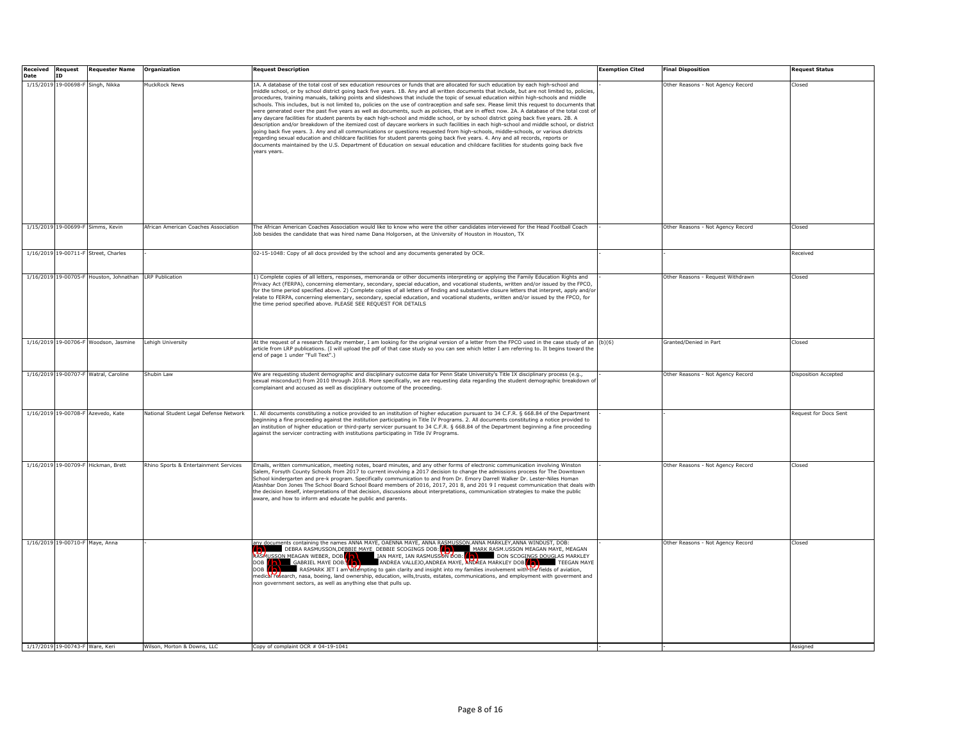| <b>Received Request</b><br>Date | <b>ID</b>                       | <b>Requester Name</b>                                   | Organization                           | <b>Request Description</b>                                                                                                                                                                                                                                                                                                                                                                                                                                                                                                                                                                                                                                                                                                                                                                                                                                                                                                                                                                                                                                                                                                                                                                                                                                                                                                                                                                                                                           | Exemption Cited | <b>Final Disposition</b>          | <b>Request Status</b> |
|---------------------------------|---------------------------------|---------------------------------------------------------|----------------------------------------|------------------------------------------------------------------------------------------------------------------------------------------------------------------------------------------------------------------------------------------------------------------------------------------------------------------------------------------------------------------------------------------------------------------------------------------------------------------------------------------------------------------------------------------------------------------------------------------------------------------------------------------------------------------------------------------------------------------------------------------------------------------------------------------------------------------------------------------------------------------------------------------------------------------------------------------------------------------------------------------------------------------------------------------------------------------------------------------------------------------------------------------------------------------------------------------------------------------------------------------------------------------------------------------------------------------------------------------------------------------------------------------------------------------------------------------------------|-----------------|-----------------------------------|-----------------------|
|                                 |                                 | 1/15/2019 19-00698-F Singh, Nikka                       | <b>MuckRock News</b>                   | 1A. A database of the total cost of sex education resources or funds that are allocated for such education by each high-school and<br>middle school, or by school district going back five vears. 1B. Any and all written documents that include, but are not limited to, policies.<br>procedures, training manuals, talking points and slideshows that include the topic of sexual education within high-schools and middle<br>schools. This includes, but is not limited to, policies on the use of contraception and safe sex. Please limit this request to documents that<br>were generated over the past five years as well as documents, such as policies, that are in effect now. 2A. A database of the total cost of<br>any daycare facilities for student parents by each high-school and middle school, or by school district going back five years. 2B. A<br>description and/or breakdown of the itemized cost of davcare workers in such facilities in each high-school and middle school, or district<br>going back five years. 3. Any and all communications or questions requested from high-schools, middle-schools, or various districts<br>regarding sexual education and childcare facilities for student parents going back five years. 4. Any and all records, reports or<br>documents maintained by the U.S. Department of Education on sexual education and childcare facilities for students going back five<br>years years. |                 | Other Reasons - Not Agency Record | Closed                |
|                                 |                                 | 1/15/2019 19-00699-F Simms, Kevin                       | African American Coaches Association   | The African American Coaches Association would like to know who were the other candidates interviewed for the Head Football Coach<br>Job besides the candidate that was hired name Dana Holgorsen, at the University of Houston in Houston, TX                                                                                                                                                                                                                                                                                                                                                                                                                                                                                                                                                                                                                                                                                                                                                                                                                                                                                                                                                                                                                                                                                                                                                                                                       |                 | Other Reasons - Not Agency Record | Closed                |
|                                 |                                 | 1/16/2019 19-00711-F Street, Charles                    |                                        | 02-15-1048: Copy of all docs provided by the school and any documents generated by OCR.                                                                                                                                                                                                                                                                                                                                                                                                                                                                                                                                                                                                                                                                                                                                                                                                                                                                                                                                                                                                                                                                                                                                                                                                                                                                                                                                                              |                 |                                   | Received              |
|                                 |                                 | 1/16/2019 19-00705-F Houston, Johnathan LRP Publication |                                        | 1) Complete copies of all letters, responses, memoranda or other documents interpreting or applying the Family Education Rights and<br>/rivacy Act (FERPA), concerning elementary, secondary, special education, and vocational students, written and/or issued by the FPCO,<br>for the time period specified above. 2) Complete copies of all letters of finding and substantive closure letters that interpret, apply and/or<br>relate to FERPA, concerning elementary, secondary, special education, and vocational students, written and/or issued by the FPCO, for<br>the time period specified above. PLEASE SEE REQUEST FOR DETAILS                                                                                                                                                                                                                                                                                                                                                                                                                                                                                                                                                                                                                                                                                                                                                                                                           |                 | Other Reasons - Request Withdrawn | Closed                |
|                                 |                                 | 1/16/2019 19-00706-F Woodson, Jasmine                   | Lehigh University                      | At the request of a research faculty member, I am looking for the original version of a letter from the FPCO used in the case study of an (b)(6)<br>article from LRP publications. (I will upload the pdf of that case study so you can see which letter I am referring to. It begins toward the<br>end of page 1 under "Full Text".)                                                                                                                                                                                                                                                                                                                                                                                                                                                                                                                                                                                                                                                                                                                                                                                                                                                                                                                                                                                                                                                                                                                |                 | Granted/Denied in Part            | Closed                |
|                                 |                                 | 1/16/2019 19-00707-F Watral, Caroline                   | Shubin Law                             | We are requesting student demographic and disciplinary outcome data for Penn State University's Title IX disciplinary process (e.g.,<br>sexual misconduct) from 2010 through 2018. More specifically, we are requesting data regarding the student demographic breakdown o<br>complainant and accused as well as disciplinary outcome of the proceeding.                                                                                                                                                                                                                                                                                                                                                                                                                                                                                                                                                                                                                                                                                                                                                                                                                                                                                                                                                                                                                                                                                             |                 | Other Reasons - Not Agency Record | Disposition Accepted  |
|                                 |                                 | 1/16/2019 19-00708-F Azevedo, Kate                      | National Student Legal Defense Network | 1. All documents constituting a notice provided to an institution of higher education pursuant to 34 C.F.R. § 668.84 of the Department<br>beginning a fine proceeding against the institution participating in Title IV Programs. 2. All documents constituting a notice provided to<br>an institution of higher education or third-party servicer pursuant to 34 C.F.R. § 668.84 of the Department beginning a fine proceeding<br>against the servicer contracting with institutions participating in Title IV Programs.                                                                                                                                                                                                                                                                                                                                                                                                                                                                                                                                                                                                                                                                                                                                                                                                                                                                                                                            |                 |                                   | Request for Docs Sent |
|                                 |                                 | 1/16/2019 19-00709-F Hickman, Brett                     | Rhino Sports & Entertainment Services  | Emails, written communication, meeting notes, board minutes, and any other forms of electronic communication involving Winston<br>Salem, Forsyth County Schools from 2017 to current involving a 2017 decision to change the admissions process for The Downtown<br>School kindergarten and pre-k program. Specifically communication to and from Dr. Emory Darrell Walker Dr. Lester-Niles Homan<br>Atashbar Don Jones The School Board School Board members of 2016, 2017, 201 8, and 201 9 I request communication that deals with<br>the decision iteself, interpretations of that decision, discussions about interpretations, communication strategies to make the public<br>aware, and how to inform and educate he public and parents.                                                                                                                                                                                                                                                                                                                                                                                                                                                                                                                                                                                                                                                                                                       |                 | Other Reasons - Not Agency Record | Closed                |
|                                 | 1/17/2019 19-00743-F Ware, Keri | 1/16/2019 19-00710-F Maye, Anna                         | Wilson, Morton & Downs, LLC            | <b>THE SECOND REPORT OF A SECOND FOR A SECOND A SECOND MANUAL MANUAL STATES OF A SECOND STATEM AND SERVED OF A SECOND STATEMENT OF A SECOND MANUAL STATEMENT OF A SECOND MANUAL STATEMENT OF A SECOND MANUAL STATEMENT OF A SECO</b><br>ANDREA VALLEJO, ANDREA MAYE, ANDREA MARKLEY DOB<br>RASMARK JET I am attempting to gain clarity and insight into my families involvement with the fields of aviation,<br>DOB<br>nedical research, nasa, boeing, land ownership, education, wills,trusts, estates, communications, and employment with goverment and<br>non government sectors, as well as anything else that pulls up.<br>Copy of complaint OCR # 04-19-1041                                                                                                                                                                                                                                                                                                                                                                                                                                                                                                                                                                                                                                                                                                                                                                                  |                 | Other Reasons - Not Agency Record | Closed<br>Assigned    |
|                                 |                                 |                                                         |                                        |                                                                                                                                                                                                                                                                                                                                                                                                                                                                                                                                                                                                                                                                                                                                                                                                                                                                                                                                                                                                                                                                                                                                                                                                                                                                                                                                                                                                                                                      |                 |                                   |                       |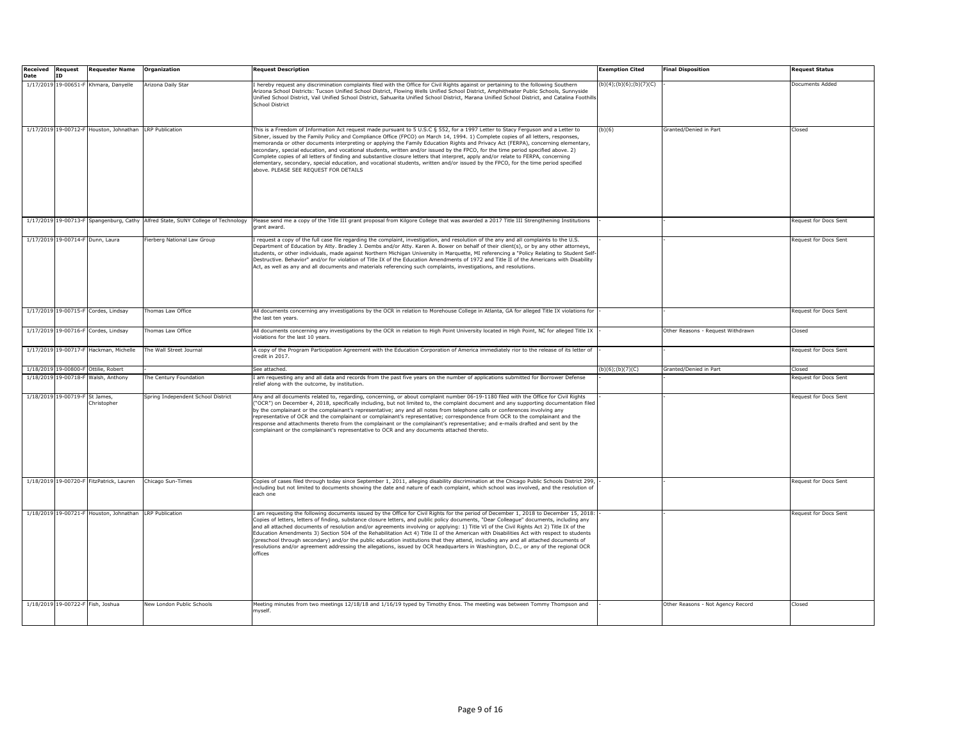| <b>Received Request</b><br>Date | <b>ID</b>                      | <b>Requester Name</b>                                   | Organization                                                                     | <b>Request Description</b>                                                                                                                                                                                                                                                                                                                                                                                                                                                                                                                                                                                                                                                                                                                                                                                                                                            | <b>Exemption Cited</b>    | <b>Final Disposition</b>          | <b>Request Status</b> |
|---------------------------------|--------------------------------|---------------------------------------------------------|----------------------------------------------------------------------------------|-----------------------------------------------------------------------------------------------------------------------------------------------------------------------------------------------------------------------------------------------------------------------------------------------------------------------------------------------------------------------------------------------------------------------------------------------------------------------------------------------------------------------------------------------------------------------------------------------------------------------------------------------------------------------------------------------------------------------------------------------------------------------------------------------------------------------------------------------------------------------|---------------------------|-----------------------------------|-----------------------|
|                                 |                                | 1/17/2019 19-00651-F Khmara, Danyelle                   | Arizona Daily Star                                                               | hereby request any discrimination complaints filed with the Office for Civil Rights against or pertaining to the following Southern<br>Arizona School Districts: Tucson Unified School District, Flowing Wells Unified School District, Amphitheater Public Schools, Sunnyside<br>Unified School District, Vail Unified School District, Sahuarita Unified School District, Marana Unified School District, and Catalina Foothills<br><b>School District</b>                                                                                                                                                                                                                                                                                                                                                                                                          | (b)(4); (b)(6); (b)(7)(C) |                                   | Documents Added       |
|                                 |                                | 1/17/2019 19-00712-F Houston, Johnathan LRP Publication |                                                                                  | This is a Freedom of Information Act request made pursuant to 5 U.S.C § 552, for a 1997 Letter to Stacy Ferguson and a Letter to<br>Sibner, issued by the Family Policy and Compliance Office (FPCO) on March 14, 1994. 1) Complete copies of all letters, responses,<br>memoranda or other documents interpreting or applying the Family Education Rights and Privacy Act (FERPA), concerning elementary,<br>secondary, special education, and vocational students, written and/or issued by the FPCO, for the time period specified above, 2)<br>Complete copies of all letters of finding and substantive closure letters that interpret, apply and/or relate to FERPA, concerning<br>elementary, secondary, special education, and vocational students, written and/or issued by the FPCO, for the time period specified<br>above. PLEASE SEE REQUEST FOR DETAILS | (b)(6)                    | Granted/Denied in Part            | Closed                |
|                                 |                                |                                                         | 1/17/2019 19-00713-F Spangenburg, Cathy Alfred State, SUNY College of Technology | Please send me a copy of the Title III grant proposal from Kilgore College that was awarded a 2017 Title III Strengthening Institutions<br>grant award.                                                                                                                                                                                                                                                                                                                                                                                                                                                                                                                                                                                                                                                                                                               |                           |                                   | Request for Docs Sent |
|                                 |                                | 1/17/2019 19-00714-F Dunn, Laura                        | Fierberg National Law Group                                                      | request a copy of the full case file regarding the complaint, investigation, and resolution of the any and all complaints to the U.S.<br>Department of Education by Atty. Bradley J. Dembs and/or Atty. Karen A. Bower on behalf of their client(s), or by any other attorneys,<br>students, or other individuals, made against Northern Michigan University in Marguette, MI referencing a "Policy Relating to Student Self-<br>Destructive. Behavior" and/or for violation of Title IX of the Education Amendments of 1972 and Title II of the Americans with Disability<br>Act, as well as any and all documents and materials referencing such complaints, investigations, and resolutions.                                                                                                                                                                       |                           |                                   | Request for Docs Sent |
|                                 |                                | 1/17/2019 19-00715-F Cordes, Lindsay                    | Thomas Law Office                                                                | All documents concerning any investigations by the OCR in relation to Morehouse College in Atlanta, GA for alleged Title IX violations for<br>the last ten vears                                                                                                                                                                                                                                                                                                                                                                                                                                                                                                                                                                                                                                                                                                      |                           |                                   | Request for Docs Sent |
|                                 |                                | 1/17/2019 19-00716-F Cordes, Lindsay                    | Thomas Law Office                                                                | All documents concerning any investigations by the OCR in relation to High Point University located in High Point, NC for alleged Title IX<br>violations for the last 10 years.                                                                                                                                                                                                                                                                                                                                                                                                                                                                                                                                                                                                                                                                                       |                           | Other Reasons - Request Withdrawn | Closed                |
|                                 |                                | 1/17/2019 19-00717-F Hackman, Michelle                  | The Wall Street Journal                                                          | A copy of the Program Participation Agreement with the Education Corporation of America immediately rior to the release of its letter of<br>credit in 2017.                                                                                                                                                                                                                                                                                                                                                                                                                                                                                                                                                                                                                                                                                                           |                           |                                   | Request for Docs Sent |
|                                 |                                | 1/18/2019 19-00800-F Ottilie, Robert                    |                                                                                  | See attached.                                                                                                                                                                                                                                                                                                                                                                                                                                                                                                                                                                                                                                                                                                                                                                                                                                                         | (b)(6); (b)(7)(C)         | Granted/Denied in Part            | Closed                |
|                                 |                                | 1/18/2019 19-00718-F Walsh, Anthony                     | The Century Foundation                                                           | I am requesting any and all data and records from the past five years on the number of applications submitted for Borrower Defense<br>relief along with the outcome, by institution.                                                                                                                                                                                                                                                                                                                                                                                                                                                                                                                                                                                                                                                                                  |                           |                                   | Request for Docs Sent |
|                                 | 1/18/2019 19-00719-F St James, | Christopher                                             | Spring Independent School District                                               | Any and all documents related to, regarding, concerning, or about complaint number 06-19-1180 filed with the Office for Civil Rights<br>"OCR") on December 4, 2018, specifically including, but not limited to, the complaint document and any supporting documentation filed<br>by the complainant or the complainant's representative; any and all notes from telephone calls or conferences involving any<br>representative of OCR and the complainant or complainant's representative; correspondence from OCR to the complainant and the<br>response and attachments thereto from the complainant or the complainant's representative; and e-mails drafted and sent by the<br>complainant or the complainant's representative to OCR and any documents attached thereto.                                                                                         |                           |                                   | Request for Docs Sent |
|                                 |                                | 1/18/2019 19-00720-F FitzPatrick, Lauren                | Chicago Sun-Times                                                                | Copies of cases filed through today since September 1, 2011, alleging disability discrimination at the Chicago Public Schools District 299,<br>including but not limited to documents showing the date and nature of each complaint, which school was involved, and the resolution of<br>each one                                                                                                                                                                                                                                                                                                                                                                                                                                                                                                                                                                     |                           |                                   | Request for Docs Sent |
|                                 |                                | 1/18/2019 19-00721-F Houston, Johnathan LRP Publication |                                                                                  | I am requesting the following documents issued by the Office for Civil Rights for the period of December 1, 2018 to December 15, 2018:<br>Copies of letters, letters of finding, substance closure letters, and public policy documents, "Dear Colleague" documents, including any<br>and all attached documents of resolution and/or agreements involving or applying: 1) Title VI of the Civil Rights Act 2) Title IX of the<br>Education Amendments 3) Section 504 of the Rehabilitation Act 4) Title II of the American with Disabilities Act with respect to students<br>(preschool through secondary) and/or the public education institutions that they attend, including any and all attached documents of<br>resolutions and/or agreement addressing the allegations, issued by OCR headquarters in Washington, D.C., or any of the regional OCR<br>offices  |                           |                                   | Request for Docs Sent |
|                                 |                                | 1/18/2019 19-00722-F Fish, Joshua                       | New London Public Schools                                                        | Meeting minutes from two meetings 12/18/18 and 1/16/19 typed by Timothy Enos. The meeting was between Tommy Thompson and<br>myself                                                                                                                                                                                                                                                                                                                                                                                                                                                                                                                                                                                                                                                                                                                                    |                           | Other Reasons - Not Agency Record | Closed                |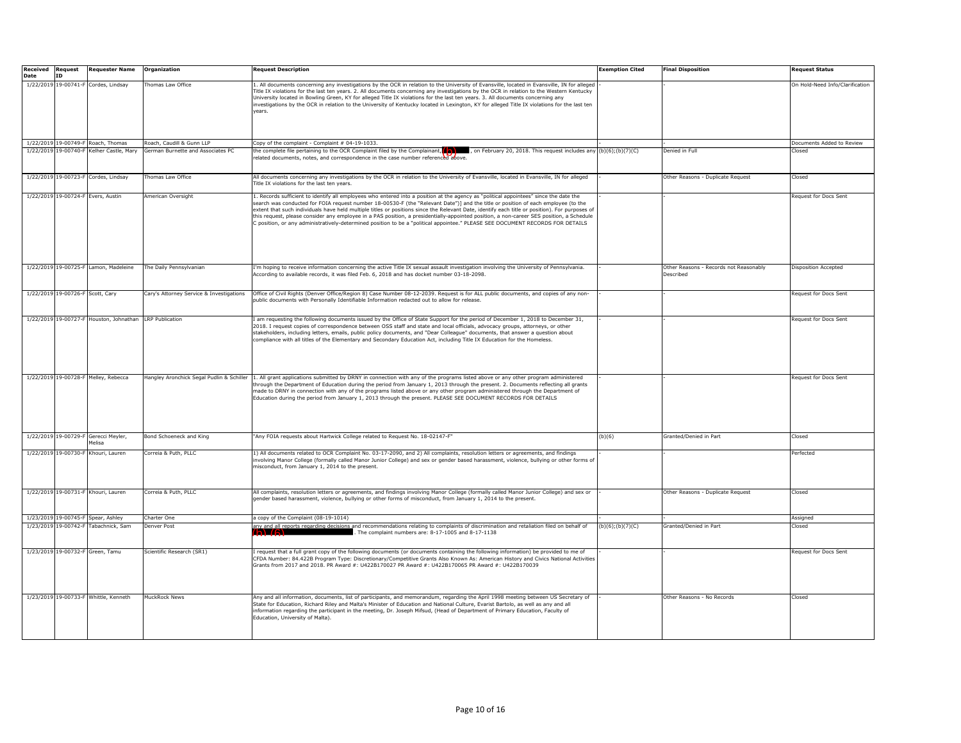| Received | <b>Request</b>                   | <b>Requester Name</b>                                   | Organization                              | <b>Request Description</b>                                                                                                                                                                                                                                                                                                                                                                                                                                                                                                                                                                                                                                                                                  | <b>Exemption Cited</b> | <b>Final Disposition</b>                            | <b>Request Status</b>           |
|----------|----------------------------------|---------------------------------------------------------|-------------------------------------------|-------------------------------------------------------------------------------------------------------------------------------------------------------------------------------------------------------------------------------------------------------------------------------------------------------------------------------------------------------------------------------------------------------------------------------------------------------------------------------------------------------------------------------------------------------------------------------------------------------------------------------------------------------------------------------------------------------------|------------------------|-----------------------------------------------------|---------------------------------|
| Date     | TD.                              |                                                         |                                           |                                                                                                                                                                                                                                                                                                                                                                                                                                                                                                                                                                                                                                                                                                             |                        |                                                     |                                 |
|          |                                  | 1/22/2019 19-00741-F Cordes, Lindsay                    | Thomas Law Office                         | 1. All documents concerning any investigations by the OCR in relation to the University of Evansville, located in Evansville, IN for alleged<br>Title IX violations for the last ten years. 2. All documents concerning any investigations by the OCR in relation to the Western Kentucky<br>Jniversity located in Bowling Green, KY for alleged Title IX violations for the last ten years. 3. All documents concerning any<br>nvestigations by the OCR in relation to the University of Kentucky located in Lexington, KY for alleged Title IX violations for the last ten<br>vears.                                                                                                                      |                        |                                                     | On Hold-Need Info/Clarification |
|          |                                  | 1/22/2019 19-00749-F Roach, Thomas                      | Roach, Caudill & Gunn LLP                 | Copy of the complaint - Complaint # 04-19-1033.                                                                                                                                                                                                                                                                                                                                                                                                                                                                                                                                                                                                                                                             |                        |                                                     | Documents Added to Review       |
|          |                                  | 1/22/2019 19-00740-F Kelher Castle, Mary                | German Burnette and Associates PC         | the complete file pertaining to the OCR Complaint filed by the Complainant, $\left(\sqrt{\phantom{a}}\right)$ , on February 20, 2018. This request includes any $\left(\frac{b}{c}\right)(5)(b)(7)(C)$                                                                                                                                                                                                                                                                                                                                                                                                                                                                                                      |                        | Denied in Full                                      | Closed                          |
|          |                                  |                                                         |                                           | related documents, notes, and correspondence in the case number referenced above.                                                                                                                                                                                                                                                                                                                                                                                                                                                                                                                                                                                                                           |                        |                                                     |                                 |
|          |                                  | 1/22/2019 19-00723-F Cordes, Lindsay                    | Thomas Law Office                         | All documents concerning any investigations by the OCR in relation to the University of Evansville, located in Evansville, IN for alleged<br>Title IX violations for the last ten years.                                                                                                                                                                                                                                                                                                                                                                                                                                                                                                                    |                        | Other Reasons - Duplicate Request                   | Closed                          |
|          |                                  | 1/22/2019 19-00724-F Evers, Austin                      | American Oversight                        | 1. Records sufficient to identify all employees who entered into a position at the agency as "political appointees" since the date the<br>search was conducted for FOIA request number 18-00530-F (the "Relevant Date")] and the title or position of each employee (to the<br>extent that such individuals have held multiple titles or positions since the Relevant Date, identify each title or position). For purposes of<br>this request, please consider any employee in a PAS position, a presidentially-appointed position, a non-career SES position, a Schedule<br>C position, or any administratively-determined position to be a "political appointee." PLEASE SEE DOCUMENT RECORDS FOR DETAILS |                        |                                                     | Request for Docs Sent           |
|          |                                  | 1/22/2019 19-00725-F Lamon, Madeleine                   | The Daily Pennsylvanian                   | I'm hoping to receive information concerning the active Title IX sexual assault investigation involving the University of Pennsylvania.<br>According to available records, it was filed Feb. 6, 2018 and has docket number 03-18-2098.                                                                                                                                                                                                                                                                                                                                                                                                                                                                      |                        | Other Reasons - Records not Reasonably<br>Described | Disposition Accepted            |
|          | 1/22/2019 19-00726-F Scott, Cary |                                                         | Cary's Attorney Service & Investigations  | Office of Civil Rights (Denver Office/Region 8) Case Number 08-12-2039. Request is for ALL public documents, and copies of any non-<br>bublic documents with Personally Identifiable Information redacted out to allow for release.                                                                                                                                                                                                                                                                                                                                                                                                                                                                         |                        |                                                     | Request for Docs Sent           |
|          |                                  | 1/22/2019 19-00727-F Houston, Johnathan LRP Publication |                                           | I am requesting the following documents issued by the Office of State Support for the period of December 1, 2018 to December 31,<br>2018. I request copies of correspondence between OSS staff and state and local officials, advocacy groups, attorneys, or other<br>stakeholders, including letters, emails, public policy documents, and "Dear Colleague" documents, that answer a question about<br>ompliance with all titles of the Elementary and Secondary Education Act, including Title IX Education for the Homeless.                                                                                                                                                                             |                        |                                                     | Request for Docs Sent           |
|          |                                  | 1/22/2019 19-00728-F Melley, Rebecca                    | Hangley Aronchick Segal Pudlin & Schiller | 1. All grant applications submitted by DRNY in connection with any of the programs listed above or any other program administered<br>through the Department of Education during the period from January 1, 2013 through the present. 2. Documents reflecting all grants<br>nade to DRNY in connection with any of the programs listed above or any other program administered through the Department of<br>Education during the period from January 1, 2013 through the present. PLEASE SEE DOCUMENT RECORDS FOR DETAILS                                                                                                                                                                                    |                        |                                                     | Request for Docs Sent           |
|          |                                  | 1/22/2019 19-00729-F Gerecci Meyler,<br><b>Aelisa</b>   | Bond Schoeneck and King                   | 'Any FOIA requests about Hartwick College related to Request No. 18-02147-F"                                                                                                                                                                                                                                                                                                                                                                                                                                                                                                                                                                                                                                | (b)(6)                 | Granted/Denied in Part                              | Closed                          |
|          |                                  | 1/22/2019 19-00730-F Khouri, Lauren                     | Correia & Puth, PLLC                      | 1) All documents related to OCR Complaint No. 03-17-2090, and 2) All complaints, resolution letters or agreements, and findings<br>nvolving Manor College (formally called Manor Junior College) and sex or gender based harassment, violence, bullying or other forms of<br>nisconduct, from January 1, 2014 to the present.                                                                                                                                                                                                                                                                                                                                                                               |                        |                                                     | erfected                        |
|          |                                  | 1/22/2019 19-00731-F Khouri, Lauren                     | Correia & Puth, PLLC                      | All complaints, resolution letters or agreements, and findings involving Manor College (formally called Manor Junior College) and sex or<br>gender based harassment, violence, bullying or other forms of misconduct, from January 1, 2014 to the present.                                                                                                                                                                                                                                                                                                                                                                                                                                                  |                        | Other Reasons - Duplicate Request                   | Closed                          |
|          |                                  | 1/23/2019 19-00745-F Spear, Ashley                      | Charter One                               | a copy of the Complaint (08-19-1014)                                                                                                                                                                                                                                                                                                                                                                                                                                                                                                                                                                                                                                                                        |                        |                                                     | Assigned                        |
|          |                                  | 1/23/2019 19-00742-F Tabachnick, Sam                    | Denver Post                               | s and recommendations relating to complaints of discrimination and retaliation filed on behalf of                                                                                                                                                                                                                                                                                                                                                                                                                                                                                                                                                                                                           | (b)(6); (b)(7)(C)      | Granted/Denied in Part                              | Closed                          |
|          |                                  |                                                         |                                           | The complaint numbers are: 8-17-1005 and 8-17-1138                                                                                                                                                                                                                                                                                                                                                                                                                                                                                                                                                                                                                                                          |                        |                                                     |                                 |
|          |                                  | 1/23/2019 19-00732-F Green, Tamu                        | Scientific Research (SR1)                 | request that a full grant copy of the following documents (or documents containing the following information) be provided to me of<br>CFDA Number: 84.422B Program Type: Discretionary/Competitive Grants Also Known As: American History and Civics National Activities<br>Grants from 2017 and 2018. PR Award #: U422B170027 PR Award #: U422B170065 PR Award #: U422B170039                                                                                                                                                                                                                                                                                                                              |                        |                                                     | Request for Docs Sent           |
|          |                                  | 1/23/2019 19-00733-F Whittle, Kenneth                   | <b>MuckRock News</b>                      | Any and all information, documents, list of participants, and memorandum, regarding the April 1998 meeting between US Secretary of<br>State for Education, Richard Riley and Malta's Minister of Education and National Culture, Evarist Bartolo, as well as any and all<br>information regarding the participant in the meeting, Dr. Joseph Mifsud, (Head of Department of Primary Education, Faculty of<br>Education, University of Malta).                                                                                                                                                                                                                                                               |                        | Other Reasons - No Records                          | Closed                          |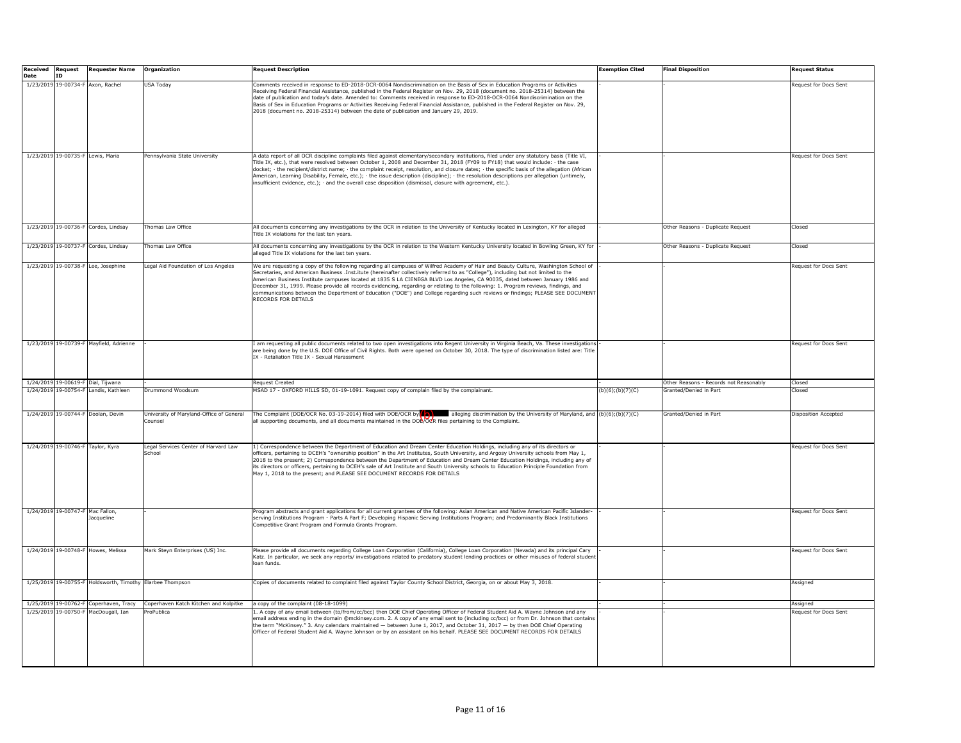| <b>Received</b> | <b>Request</b>                   | <b>Requester Name</b>                                     | Organization                                       | <b>Request Description</b>                                                                                                                                                                                                                                                                                                                                                                                                                                                                                                                                                                                                                                                                                   | Exemption Cited   | <b>Final Disposition</b>               | <b>Request Status</b>        |
|-----------------|----------------------------------|-----------------------------------------------------------|----------------------------------------------------|--------------------------------------------------------------------------------------------------------------------------------------------------------------------------------------------------------------------------------------------------------------------------------------------------------------------------------------------------------------------------------------------------------------------------------------------------------------------------------------------------------------------------------------------------------------------------------------------------------------------------------------------------------------------------------------------------------------|-------------------|----------------------------------------|------------------------------|
| <b>Date</b>     | ID                               |                                                           |                                                    |                                                                                                                                                                                                                                                                                                                                                                                                                                                                                                                                                                                                                                                                                                              |                   |                                        |                              |
|                 |                                  | 1/23/2019 19-00734-F Axon, Rachel                         | <b>USA Today</b>                                   | Comments received in response to ED-2018-OCR-0064 Nondiscrimination on the Basis of Sex in Education Programs or Activities<br>Receiving Federal Financial Assistance, published in the Federal Register on Nov. 29, 2018 (document no. 2018-25314) between the<br>date of publication and today's date. Amended to: Comments received in response to ED-2018-OCR-0064 Nondiscrimination on the<br>Basis of Sex in Education Programs or Activities Receiving Federal Financial Assistance, published in the Federal Register on Nov. 29,<br>2018 (document no. 2018-25314) between the date of publication and January 29, 2019.                                                                            |                   |                                        | Request for Docs Sent        |
|                 |                                  |                                                           |                                                    |                                                                                                                                                                                                                                                                                                                                                                                                                                                                                                                                                                                                                                                                                                              |                   |                                        |                              |
|                 |                                  | 1/23/2019 19-00735-F Lewis, Maria                         | Pennsylvania State University                      | A data report of all OCR discipline complaints filed against elementary/secondary institutions, filed under any statutory basis (Title VI,<br>Title IX, etc.), that were resolved between October 1, 2008 and December 31, 2018 (FY09 to FY18) that would include: $\cdot$ the case<br>docket; · the recipient/district name; · the complaint receipt, resolution, and closure dates; · the specific basis of the allegation (African<br>American, Learning Disability, Female, etc.); · the issue description (discipline); · the resolution descriptions per allegation (untimely,<br>insufficient evidence, etc.); · and the overall case disposition (dismissal, closure with agreement, etc.).          |                   |                                        | Request for Docs Sent        |
|                 |                                  | 1/23/2019 19-00736-F Cordes, Lindsay                      | Thomas Law Office                                  | All documents concerning any investigations by the OCR in relation to the University of Kentucky located in Lexington, KY for alleged<br>Title IX violations for the last ten years.                                                                                                                                                                                                                                                                                                                                                                                                                                                                                                                         |                   | Other Reasons - Duplicate Request      | Closed                       |
|                 |                                  | 1/23/2019 19-00737-F Cordes, Lindsay                      | Thomas Law Office                                  | All documents concerning any investigations by the OCR in relation to the Western Kentucky University located in Bowling Green, KY for<br>alleged Title IX violations for the last ten vears.                                                                                                                                                                                                                                                                                                                                                                                                                                                                                                                |                   | Other Reasons - Duplicate Request      | Closed                       |
|                 |                                  | 1/23/2019 19-00738-F Lee, Josephine                       | Legal Aid Foundation of Los Angeles                | We are requesting a copy of the following regarding all campuses of Wilfred Academy of Hair and Beauty Culture, Washington School of<br>Secretaries, and American Business .Inst.itute (hereinafter collectively referred to as "College"), including but not limited to the<br>American Business Institute campuses located at 1835 S LA CIENEGA BLVD Los Angeles, CA 90035, dated between January 1986 and<br>December 31, 1999. Please provide all records evidencing, regarding or relating to the following: 1. Program reviews, findings, and<br>communications between the Department of Education ("DOE") and College regarding such reviews or findings; PLEASE SEE DOCUMENT<br>RECORDS FOR DETAILS |                   |                                        | Request for Docs Sent        |
|                 |                                  | 1/23/2019 19-00739-F Mayfield, Adrienne                   |                                                    | I am requesting all public documents related to two open investigations into Regent University in Virginia Beach, Va. These investigations<br>are being done by the U.S. DOE Office of Civil Rights. Both were opened on October 30, 2018. The type of discrimination listed are: Title<br>IX - Retaliation Title IX - Sexual Harassment                                                                                                                                                                                                                                                                                                                                                                     |                   |                                        | Request for Docs Sent        |
|                 |                                  | 1/24/2019 19-00619-F Dial, Tijwana                        |                                                    | Request Created                                                                                                                                                                                                                                                                                                                                                                                                                                                                                                                                                                                                                                                                                              |                   | Other Reasons - Records not Reasonably | Closed                       |
|                 |                                  | 1/24/2019 19-00754-F Landis, Kathleen                     | Drummond Woodsum                                   | MSAD 17 - OXFORD HILLS SD, 01-19-1091. Request copy of complain filed by the complainant.                                                                                                                                                                                                                                                                                                                                                                                                                                                                                                                                                                                                                    | (b)(6); (b)(7)(C) | Granted/Denied in Part                 | Closed                       |
|                 |                                  | 1/24/2019 19-00744-F Doolan, Devin                        | University of Maryland-Office of General<br>ounsel | The Complaint (DOE/OCR No. 03-19-2014) filed with DOE/OCR by $\Box$ alleging discrimination by the University of Maryland, and (b)(6);(b)(7)(C)<br>all supporting documents, and all documents maintained in the DOB/OCR files pertaining to the Complaint.                                                                                                                                                                                                                                                                                                                                                                                                                                                  |                   | Granted/Denied in Part                 | Disposition Accepted         |
|                 |                                  | 1/24/2019 19-00746-F Taylor, Kyra                         | Legal Services Center of Harvard Law<br>chool      | 1) Correspondence between the Department of Education and Dream Center Education Holdings, including any of its directors or<br>officers, pertaining to DCEH's "ownership position" in the Art Institutes, South University, and Argosy University schools from May 1,<br>2018 to the present; 2) Correspondence between the Department of Education and Dream Center Education Holdings, including any of<br>its directors or officers, pertaining to DCEH's sale of Art Institute and South University schools to Education Principle Foundation from<br>May 1, 2018 to the present; and PLEASE SEE DOCUMENT RECORDS FOR DETAILS                                                                           |                   |                                        | Request for Docs Sent        |
|                 | 1/24/2019 19-00747-F Mac Fallon, | Jacqueline                                                |                                                    | Program abstracts and grant applications for all current grantees of the following: Asian American and Native American Pacific Islander-<br>serving Institutions Program - Parts A Part F; Developing Hispanic Serving Institutions Program; and Predominantly Black Institutions<br>Competitive Grant Program and Formula Grants Program.                                                                                                                                                                                                                                                                                                                                                                   |                   |                                        | <b>Request for Docs Sent</b> |
|                 |                                  | 1/24/2019 19-00748-F Howes, Melissa                       | Mark Steyn Enterprises (US) Inc.                   | Please provide all documents regarding College Loan Corporation (California), College Loan Corporation (Nevada) and its principal Cary<br>Katz. In particular, we seek any reports/ investigations related to predatory student lending practices or other misuses of federal studen<br>loan funds.                                                                                                                                                                                                                                                                                                                                                                                                          |                   |                                        | Request for Docs Sent        |
|                 |                                  | 1/25/2019 19-00755-F Holdsworth, Timothy Elarbee Thompson |                                                    | Copies of documents related to complaint filed against Taylor County School District, Georgia, on or about May 3, 2018.                                                                                                                                                                                                                                                                                                                                                                                                                                                                                                                                                                                      |                   |                                        | Assigned                     |
|                 |                                  | 1/25/2019 19-00762-F Coperhaven, Tracy                    | Coperhaven Katch Kitchen and Kolpitke              | a copy of the complaint (08-18-1099)                                                                                                                                                                                                                                                                                                                                                                                                                                                                                                                                                                                                                                                                         |                   |                                        | Assigned                     |
|                 |                                  | 1/25/2019 19-00750-F MacDougall, Ian                      | ProPublica                                         | 1. A copy of any email between (to/from/cc/bcc) then DOE Chief Operating Officer of Federal Student Aid A. Wayne Johnson and any<br>email address ending in the domain @mckinsey.com. 2. A copy of any email sent to (including cc/bcc) or from Dr. Johnson that contain<br>the term "McKinsey." 3. Any calendars maintained - between June 1, 2017, and October 31, 2017 - by then DOE Chief Operating<br>Officer of Federal Student Aid A. Wayne Johnson or by an assistant on his behalf. PLEASE SEE DOCUMENT RECORDS FOR DETAILS                                                                                                                                                                         |                   |                                        | Request for Docs Sent        |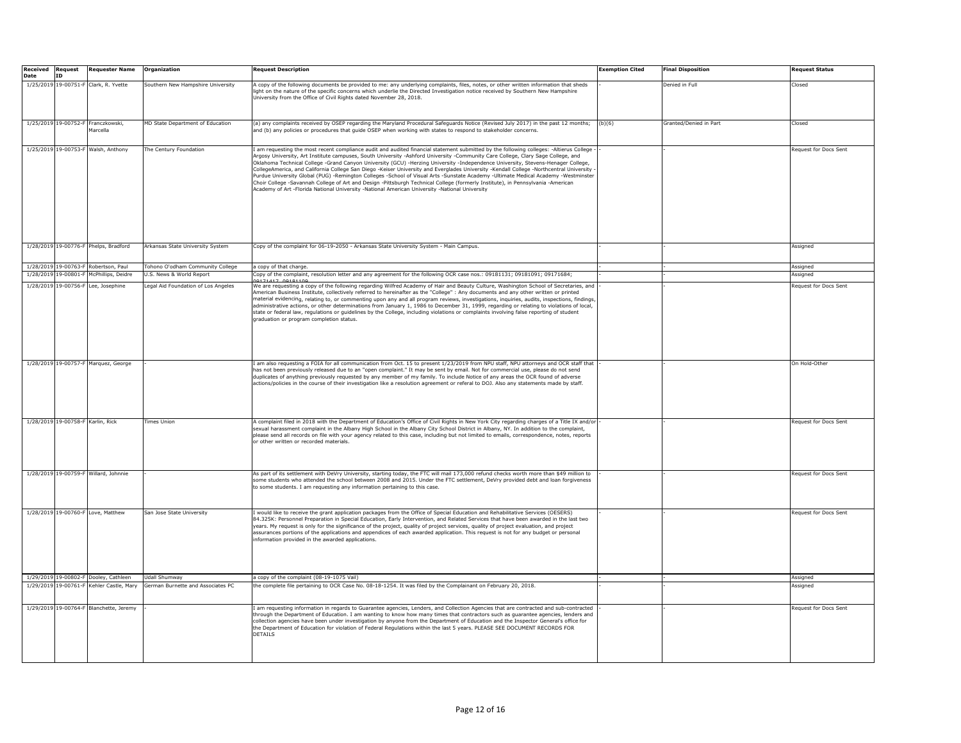| <b>Received Request</b> |                                   | <b>Requester Name</b>                          | Organization                        | <b>Request Description</b>                                                                                                                                                                                                                                                                                                                                                                                                                                                                                                                                                                                                                                                                                                                                                                                                                                                                                                            | <b>Exemption Cited</b> | <b>Final Disposition</b> | Request Status               |
|-------------------------|-----------------------------------|------------------------------------------------|-------------------------------------|---------------------------------------------------------------------------------------------------------------------------------------------------------------------------------------------------------------------------------------------------------------------------------------------------------------------------------------------------------------------------------------------------------------------------------------------------------------------------------------------------------------------------------------------------------------------------------------------------------------------------------------------------------------------------------------------------------------------------------------------------------------------------------------------------------------------------------------------------------------------------------------------------------------------------------------|------------------------|--------------------------|------------------------------|
| <b>Date</b>             | TD                                |                                                |                                     |                                                                                                                                                                                                                                                                                                                                                                                                                                                                                                                                                                                                                                                                                                                                                                                                                                                                                                                                       |                        |                          |                              |
|                         |                                   | 1/25/2019 19-00751-F Clark, R. Yvette          | Southern New Hampshire University   | A copy of the following documents be provided to me: any underlying complaints, files, notes, or other written information that sheds<br>ight on the nature of the specific concerns which underlie the Directed Investigation notice received by Southern New Hampshire<br>University from the Office of Civil Rights dated November 28, 2018.                                                                                                                                                                                                                                                                                                                                                                                                                                                                                                                                                                                       |                        | Denied in Full           | Closed                       |
|                         |                                   |                                                |                                     |                                                                                                                                                                                                                                                                                                                                                                                                                                                                                                                                                                                                                                                                                                                                                                                                                                                                                                                                       |                        |                          |                              |
|                         |                                   | 1/25/2019 19-00752-F Franczkowski,<br>Marcella | MD State Department of Education    | (a) any complaints received by OSEP regarding the Maryland Procedural Safeguards Notice (Revised July 2017) in the past 12 months;<br>and (b) any policies or procedures that guide OSEP when working with states to respond to stakeholder concerns.                                                                                                                                                                                                                                                                                                                                                                                                                                                                                                                                                                                                                                                                                 | (b)(6)                 | Granted/Denied in Part   | Closed                       |
|                         |                                   | 1/25/2019 19-00753-F Walsh, Anthony            | The Century Foundation              | I am requesting the most recent compliance audit and audited financial statement submitted by the following colleges: -Altierus College<br>Argosy University, Art Institute campuses, South University -Ashford University -Community Care College, Clary Sage College, and<br>Oklahoma Technical College -Grand Canyon University (GCU) -Herzing University -Independence University, Stevens-Henager College,<br>CollegeAmerica, and California College San Diego -Keiser University and Everglades University -Kendall College -Northcentral University<br>Purdue University Global (PUG) -Remington Colleges -School of Visual Arts -Sunstate Academy -Ultimate Medical Academy -Westminster<br>Choir College -Savannah College of Art and Design -Pittsburgh Technical College (formerly Institute), in Pennsylvania -American<br>Academy of Art -Florida National University -National American University -National University |                        |                          | Request for Docs Sent        |
|                         |                                   | 1/28/2019 19-00776-F Phelps, Bradford          | Arkansas State University System    | Copy of the complaint for 06-19-2050 - Arkansas State University System - Main Campus.                                                                                                                                                                                                                                                                                                                                                                                                                                                                                                                                                                                                                                                                                                                                                                                                                                                |                        |                          | Assianed                     |
|                         |                                   | 1/28/2019 19-00763-F Robertson, Paul           | Tohono O'odham Community College    | a copy of that charge.                                                                                                                                                                                                                                                                                                                                                                                                                                                                                                                                                                                                                                                                                                                                                                                                                                                                                                                |                        |                          | Assigned                     |
| 1/28/2019               | 19-00801-                         | McPhillips, Deidre                             | U.S. News & World Report            | Copy of the complaint, resolution letter and any agreement for the following OCR case nos.: 09181131; 09181091; 09171684;                                                                                                                                                                                                                                                                                                                                                                                                                                                                                                                                                                                                                                                                                                                                                                                                             |                        |                          | Assigned                     |
|                         |                                   | 1/28/2019 19-00756-F Lee, Josephine            | Legal Aid Foundation of Los Angeles | We are requesting a copy of the following regarding Wilfred Academy of Hair and Beauty Culture, Washington School of Secretaries, and<br>American Business Institute, collectively referred to hereinafter as the "College" : Any documents and any other written or printed<br>material evidencing, relating to, or commenting upon any and all program reviews, investigations, inguiries, audits, inspections, findings,<br>administrative actions, or other determinations from January 1, 1986 to December 31, 1999, regarding or relating to violations of local,<br>state or federal law, regulations or guidelines by the College, including violations or complaints involving false reporting of student<br>graduation or program completion status.                                                                                                                                                                        |                        |                          | Request for Docs Sent        |
|                         |                                   | 1/28/2019 19-00757-F Marquez, George           |                                     | I am also requesting a FOIA for all communication from Oct. 15 to present 1/23/2019 from NPU staff, NPU attorneys and OCR staff that<br>has not been previously released due to an "open complaint." It may be sent by email. Not for commercial use, please do not send<br>duplicates of anything previously requested by any member of my family. To include Notice of any areas the OCR found of adverse<br>actions/policies in the course of their investigation like a resolution agreement or referal to DOJ. Also any statements made by staff.                                                                                                                                                                                                                                                                                                                                                                                |                        |                          | On Hold-Other                |
|                         | 1/28/2019 19-00758-F Karlin, Rick |                                                | Times Union                         | A complaint filed in 2018 with the Department of Education's Office of Civil Rights in New York City regarding charges of a Title IX and/or<br>sexual harassment complaint in the Albany High School in the Albany City School District in Albany, NY. In addition to the complaint,<br>please send all records on file with your agency related to this case, including but not limited to emails, correspondence, notes, reports<br>or other written or recorded materials.                                                                                                                                                                                                                                                                                                                                                                                                                                                         |                        |                          | Request for Docs Sent        |
|                         |                                   | 1/28/2019 19-00759-F Willard, Johnnie          |                                     | As part of its settlement with DeVry University, starting today, the FTC will mail 173,000 refund checks worth more than \$49 million to<br>some students who attended the school between 2008 and 2015. Under the FTC settlement, DeVry provided debt and loan forgiveness<br>to some students. I am requesting any information pertaining to this case.                                                                                                                                                                                                                                                                                                                                                                                                                                                                                                                                                                             |                        |                          | Request for Docs Sent        |
|                         |                                   | 1/28/2019 19-00760-F Love, Matthew             | San Jose State University           | I would like to receive the grant application packages from the Office of Special Education and Rehabilitative Services (OESERS)<br>84.325K: Personnel Prenaration in Special Education. Farly Intervention, and Related Services that have been awarded in the last two<br>years. My request is only for the significance of the project, quality of project services, quality of project evaluation, and project<br>assurances portions of the applications and appendices of each awarded application. This request is not for any budget or personal<br>information provided in the awarded applications.                                                                                                                                                                                                                                                                                                                         |                        |                          | Request for Docs Sent        |
|                         |                                   | 1/29/2019 19-00802-F Dooley, Cathleen          | Udall Shumwav                       | a copy of the complaint (08-19-1075 Vail)                                                                                                                                                                                                                                                                                                                                                                                                                                                                                                                                                                                                                                                                                                                                                                                                                                                                                             |                        |                          | Assigned                     |
|                         |                                   | 1/29/2019 19-00761-F Kehler Castle, Mary       | German Burnette and Associates PC   | the complete file pertaining to OCR Case No. 08-18-1254. It was filed by the Complainant on February 20, 2018.                                                                                                                                                                                                                                                                                                                                                                                                                                                                                                                                                                                                                                                                                                                                                                                                                        |                        |                          | Assianed                     |
|                         |                                   | 1/29/2019 19-00764-F Blanchette, Jeremy        |                                     | I am requesting information in regards to Guarantee agencies, Lenders, and Collection Agencies that are contracted and sub-contracted<br>through the Department of Education. I am wanting to know how many times that contractors such as quarantee agencies, lenders and<br>collection agencies have been under investigation by anyone from the Department of Education and the Inspector General's office for<br>the Department of Education for violation of Federal Regulations within the last 5 years. PLEASE SEE DOCUMENT RECORDS FOR<br><b>DETAILS</b>                                                                                                                                                                                                                                                                                                                                                                      |                        |                          | <b>Request for Docs Sent</b> |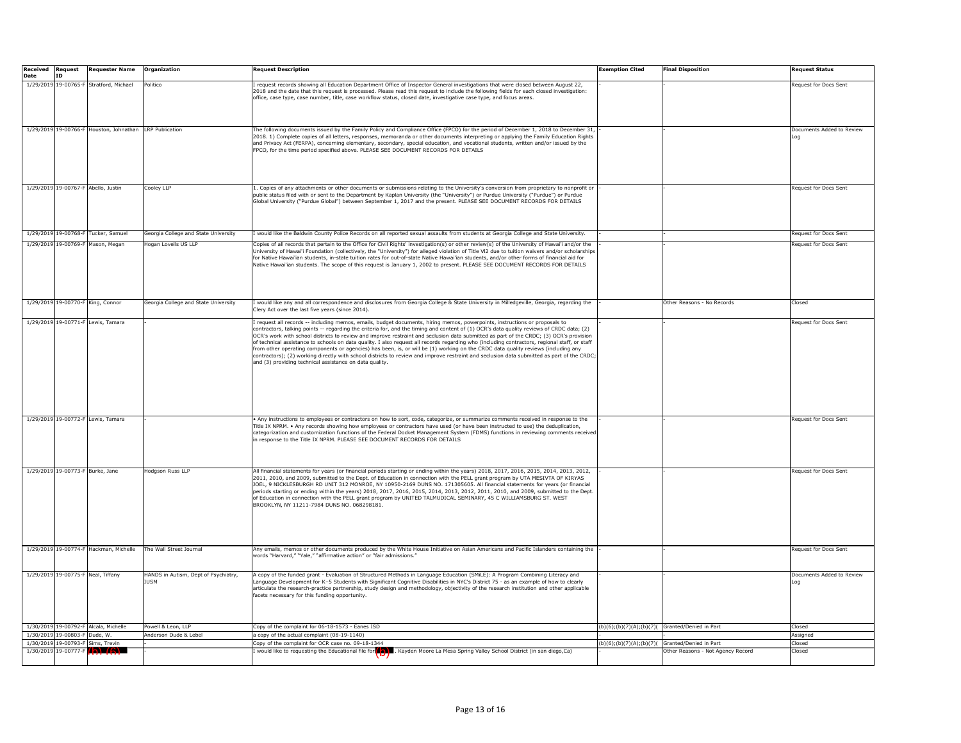| <b>Received</b> | <b>Request</b>                   | <b>Requester Name</b>                                   | Organization                         | Request Description                                                                                                                             | Exemption Cited | <b>Final Disposition</b>                       | <b>Request Status</b>        |
|-----------------|----------------------------------|---------------------------------------------------------|--------------------------------------|-------------------------------------------------------------------------------------------------------------------------------------------------|-----------------|------------------------------------------------|------------------------------|
| <b>Date</b>     | <b>ID</b>                        |                                                         |                                      |                                                                                                                                                 |                 |                                                |                              |
|                 |                                  | 1/29/2019 19-00765-F Stratford, Michael                 | Politico                             | request records showing all Education Department Office of Inspector General investigations that were closed between August 22,                 |                 |                                                | Request for Docs Sent        |
|                 |                                  |                                                         |                                      | 2018 and the date that this request is processed. Please read this request to include the following fields for each closed investigation:       |                 |                                                |                              |
|                 |                                  |                                                         |                                      | office, case type, case number, title, case workflow status, closed date, investigative case type, and focus areas.                             |                 |                                                |                              |
|                 |                                  |                                                         |                                      |                                                                                                                                                 |                 |                                                |                              |
|                 |                                  |                                                         |                                      |                                                                                                                                                 |                 |                                                |                              |
|                 |                                  |                                                         |                                      |                                                                                                                                                 |                 |                                                |                              |
|                 |                                  |                                                         |                                      |                                                                                                                                                 |                 |                                                |                              |
|                 |                                  | 1/29/2019 19-00766-F Houston, Johnathan LRP Publication |                                      | The following documents issued by the Family Policy and Compliance Office (FPCO) for the period of December 1, 2018 to December 31              |                 |                                                | Documents Added to Review    |
|                 |                                  |                                                         |                                      | 2018. 1) Complete copies of all letters, responses, memoranda or other documents interpreting or applying the Family Education Rights           |                 |                                                | Log                          |
|                 |                                  |                                                         |                                      | and Privacy Act (FERPA), concerning elementary, secondary, special education, and vocational students, written and/or issued by the             |                 |                                                |                              |
|                 |                                  |                                                         |                                      | FPCO, for the time period specified above. PLEASE SEE DOCUMENT RECORDS FOR DETAILS                                                              |                 |                                                |                              |
|                 |                                  |                                                         |                                      |                                                                                                                                                 |                 |                                                |                              |
|                 |                                  |                                                         |                                      |                                                                                                                                                 |                 |                                                |                              |
|                 |                                  |                                                         |                                      |                                                                                                                                                 |                 |                                                |                              |
|                 |                                  |                                                         |                                      |                                                                                                                                                 |                 |                                                |                              |
|                 |                                  |                                                         |                                      |                                                                                                                                                 |                 |                                                |                              |
|                 |                                  | 1/29/2019 19-00767-F Abello, Justin                     | Cooley LLP                           | . Copies of any attachments or other documents or submissions relating to the University's conversion from proprietary to nonprofit or          |                 |                                                | Request for Docs Sent        |
|                 |                                  |                                                         |                                      | public status filed with or sent to the Department by Kaplan University (the "University") or Purdue University ("Purdue") or Purdue            |                 |                                                |                              |
|                 |                                  |                                                         |                                      | Global University ("Purdue Global") between September 1, 2017 and the present. PLEASE SEE DOCUMENT RECORDS FOR DETAILS                          |                 |                                                |                              |
|                 |                                  |                                                         |                                      |                                                                                                                                                 |                 |                                                |                              |
|                 |                                  |                                                         |                                      |                                                                                                                                                 |                 |                                                |                              |
|                 |                                  |                                                         |                                      |                                                                                                                                                 |                 |                                                |                              |
| 1/29/2019       |                                  | 19-00768-F Tucker, Samuel                               | Georgia College and State University | would like the Baldwin County Police Records on all reported sexual assaults from students at Georgia College and State University.             |                 |                                                | Request for Docs Sent        |
|                 |                                  |                                                         |                                      |                                                                                                                                                 |                 |                                                |                              |
|                 |                                  | 1/29/2019 19-00769-F Mason, Megan                       | Hogan Lovells US LLP                 | Copies of all records that pertain to the Office for Civil Rights' investigation(s) or other review(s) of the University of Hawai'i and/or the  |                 |                                                | <b>Request for Docs Sent</b> |
|                 |                                  |                                                         |                                      | Jniversity of Hawai'i Foundation (collectively, the "University") for alleged violation of Title VI2 due to tuition waivers and/or scholarships |                 |                                                |                              |
|                 |                                  |                                                         |                                      | for Native Hawai'ian students, in-state tuition rates for out-of-state Native Hawai'ian students, and/or other forms of financial aid for       |                 |                                                |                              |
|                 |                                  |                                                         |                                      | Native Hawai'ian students. The scope of this request is January 1, 2002 to present. PLEASE SEE DOCUMENT RECORDS FOR DETAILS                     |                 |                                                |                              |
|                 |                                  |                                                         |                                      |                                                                                                                                                 |                 |                                                |                              |
|                 |                                  |                                                         |                                      |                                                                                                                                                 |                 |                                                |                              |
|                 |                                  |                                                         |                                      |                                                                                                                                                 |                 |                                                |                              |
|                 |                                  |                                                         |                                      |                                                                                                                                                 |                 |                                                |                              |
|                 |                                  | 1/29/2019 19-00770-F King, Connor                       | Georgia College and State University | I would like any and all correspondence and disclosures from Georgia College & State University in Milledgeville, Georgia, regarding the        |                 | Other Reasons - No Records                     | Closed                       |
|                 |                                  |                                                         |                                      | Clery Act over the last five years (since 2014).                                                                                                |                 |                                                |                              |
|                 |                                  |                                                         |                                      |                                                                                                                                                 |                 |                                                |                              |
|                 |                                  | 1/29/2019 19-00771-F Lewis, Tamara                      |                                      | request all records -- including memos, emails, budget documents, hiring memos, powerpoints, instructions or proposals to                       |                 |                                                | Request for Docs Sent        |
|                 |                                  |                                                         |                                      | contractors, talking points -- regarding the criteria for, and the timing and content of (1) OCR's data quality reviews of CRDC data; (2)       |                 |                                                |                              |
|                 |                                  |                                                         |                                      | OCR's work with school districts to review and improve restraint and seclusion data submitted as part of the CRDC; (3) OCR's provision          |                 |                                                |                              |
|                 |                                  |                                                         |                                      | of technical assistance to schools on data quality. I also request all records regarding who (including contractors, regional staff, or staff   |                 |                                                |                              |
|                 |                                  |                                                         |                                      | rom other operating components or agencies) has been, is, or will be (1) working on the CRDC data quality reviews (including any                |                 |                                                |                              |
|                 |                                  |                                                         |                                      | contractors); (2) working directly with school districts to review and improve restraint and seclusion data submitted as part of the CRDC       |                 |                                                |                              |
|                 |                                  |                                                         |                                      | and (3) providing technical assistance on data quality.                                                                                         |                 |                                                |                              |
|                 |                                  |                                                         |                                      |                                                                                                                                                 |                 |                                                |                              |
|                 |                                  |                                                         |                                      |                                                                                                                                                 |                 |                                                |                              |
|                 |                                  |                                                         |                                      |                                                                                                                                                 |                 |                                                |                              |
|                 |                                  |                                                         |                                      |                                                                                                                                                 |                 |                                                |                              |
|                 |                                  |                                                         |                                      |                                                                                                                                                 |                 |                                                |                              |
|                 |                                  |                                                         |                                      |                                                                                                                                                 |                 |                                                |                              |
|                 |                                  |                                                         |                                      |                                                                                                                                                 |                 |                                                |                              |
|                 |                                  |                                                         |                                      |                                                                                                                                                 |                 |                                                |                              |
|                 |                                  | 1/29/2019 19-00772-F Lewis, Tamara                      |                                      | Any instructions to employees or contractors on how to sort, code, categorize, or summarize comments received in response to the                |                 |                                                | Request for Docs Sent        |
|                 |                                  |                                                         |                                      | Title IX NPRM. • Any records showing how employees or contractors have used (or have been instructed to use) the deduplication,                 |                 |                                                |                              |
|                 |                                  |                                                         |                                      | categorization and customization functions of the Federal Docket Management System (FDMS) functions in reviewing comments received              |                 |                                                |                              |
|                 |                                  |                                                         |                                      | n response to the Title IX NPRM. PLEASE SEE DOCUMENT RECORDS FOR DETAILS                                                                        |                 |                                                |                              |
|                 |                                  |                                                         |                                      |                                                                                                                                                 |                 |                                                |                              |
|                 |                                  |                                                         |                                      |                                                                                                                                                 |                 |                                                |                              |
|                 |                                  |                                                         |                                      |                                                                                                                                                 |                 |                                                |                              |
|                 | 1/29/2019 19-00773-F Burke, Jane |                                                         | Hodgson Russ LLP                     | All financial statements for years (or financial periods starting or ending within the years) 2018, 2017, 2016, 2015, 2014, 2013, 2012,         |                 |                                                | Request for Docs Sent        |
|                 |                                  |                                                         |                                      | 2011, 2010, and 2009, submitted to the Dept. of Education in connection with the PELL grant program by UTA MESIVTA OF KIRYAS                    |                 |                                                |                              |
|                 |                                  |                                                         |                                      | JOEL, 9 NICKLESBURGH RD UNIT 312 MONROE, NY 10950-2169 DUNS NO. 171305605. All financial statements for years (or financial                     |                 |                                                |                              |
|                 |                                  |                                                         |                                      | periods starting or ending within the years) 2018, 2017, 2016, 2015, 2014, 2013, 2012, 2011, 2010, and 2009, submitted to the Dept.             |                 |                                                |                              |
|                 |                                  |                                                         |                                      | of Education in connection with the PELL grant program by UNITED TALMUDICAL SEMINARY, 45 C WILLIAMSBURG ST. WEST                                |                 |                                                |                              |
|                 |                                  |                                                         |                                      | BROOKLYN, NY 11211-7984 DUNS NO. 068298181.                                                                                                     |                 |                                                |                              |
|                 |                                  |                                                         |                                      |                                                                                                                                                 |                 |                                                |                              |
|                 |                                  |                                                         |                                      |                                                                                                                                                 |                 |                                                |                              |
|                 |                                  |                                                         |                                      |                                                                                                                                                 |                 |                                                |                              |
|                 |                                  |                                                         |                                      |                                                                                                                                                 |                 |                                                |                              |
|                 |                                  |                                                         |                                      |                                                                                                                                                 |                 |                                                |                              |
|                 |                                  |                                                         |                                      |                                                                                                                                                 |                 |                                                |                              |
|                 |                                  | 1/29/2019 19-00774-F Hackman, Michelle                  | The Wall Street Journal              | Any emails, memos or other documents produced by the White House Initiative on Asian Americans and Pacific Islanders containing the             |                 |                                                | <b>Request for Docs Sent</b> |
|                 |                                  |                                                         |                                      | words "Harvard," "Yale," "affirmative action" or "fair admissions."                                                                             |                 |                                                |                              |
|                 |                                  |                                                         |                                      |                                                                                                                                                 |                 |                                                |                              |
|                 |                                  |                                                         |                                      |                                                                                                                                                 |                 |                                                |                              |
|                 |                                  | 1/29/2019 19-00775-F Neal, Tiffany                      | HANDS in Autism, Dept of Psychiatry, | A copy of the funded grant - Evaluation of Structured Methods in Language Education (SMiLE): A Program Combining Literacy and                   |                 |                                                | Documents Added to Review    |
|                 |                                  |                                                         | <b>IUSM</b>                          | anguage Development for K-5 Students with Significant Cognitive Disabilities in NYC's District 75 - as an example of how to clearly             |                 |                                                | Loq                          |
|                 |                                  |                                                         |                                      | rrticulate the research-practice partnership, study design and methodology, objectivity of the research institution and other applicable        |                 |                                                |                              |
|                 |                                  |                                                         |                                      | facets necessary for this funding opportunity.                                                                                                  |                 |                                                |                              |
|                 |                                  |                                                         |                                      |                                                                                                                                                 |                 |                                                |                              |
|                 |                                  |                                                         |                                      |                                                                                                                                                 |                 |                                                |                              |
|                 |                                  |                                                         |                                      |                                                                                                                                                 |                 |                                                |                              |
|                 |                                  | 1/30/2019 19-00792-F Alcala, Michelle                   | Powell & Leon, LLP                   | Copy of the complaint for 06-18-1573 - Eanes ISD                                                                                                |                 | (b)(6);(b)(7)(A);(b)(7)(Granted/Denied in Part | Closed                       |
|                 | 1/30/2019 19-00803-F Dude, W.    |                                                         | Anderson Dude & Lebel                | a copy of the actual complaint (08-19-1140)                                                                                                     |                 |                                                | Assianed                     |
|                 |                                  |                                                         |                                      |                                                                                                                                                 |                 |                                                |                              |
| 1/30/2019       |                                  | 19-00793-F Sims, Trevin                                 |                                      | opy of the complaint for OCR case no. 09-18-1344                                                                                                |                 | (b)(6);(b)(7)(A);(b)(7)(Granted/Denied in Part | Closed                       |
|                 |                                  | $1/30/2019$ 19-00777-F $(h)$ $(R)$                      |                                      | would like to requesting the Educational file for A Rayden Moore La Mesa Spring Valley School District (in san diego,Ca)                        |                 | Other Reasons - Not Agency Record              | Closed                       |
|                 |                                  |                                                         |                                      |                                                                                                                                                 |                 |                                                |                              |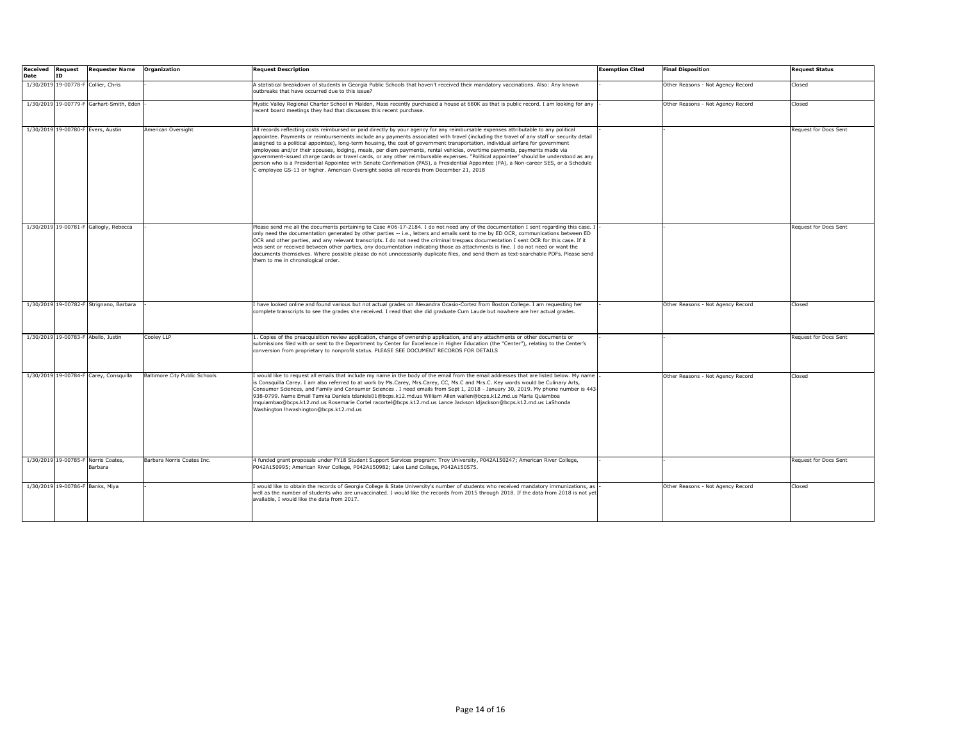| <b>Received Request</b><br>Date | ID | <b>Requester Name</b>                          | Organization                  | <b>Request Description</b>                                                                                                                                                                                                                                                                                                                                                                                                                                                                                                                                                                                                                                                                                                                                                                                                                                                                                               | <b>Exemption Cited</b> | <b>Final Disposition</b>          | <b>Request Status</b> |
|---------------------------------|----|------------------------------------------------|-------------------------------|--------------------------------------------------------------------------------------------------------------------------------------------------------------------------------------------------------------------------------------------------------------------------------------------------------------------------------------------------------------------------------------------------------------------------------------------------------------------------------------------------------------------------------------------------------------------------------------------------------------------------------------------------------------------------------------------------------------------------------------------------------------------------------------------------------------------------------------------------------------------------------------------------------------------------|------------------------|-----------------------------------|-----------------------|
|                                 |    | 1/30/2019 19-00778-F Collier, Chris            |                               | A statistical breakdown of students in Georgia Public Schools that haven't received their mandatory vaccinations. Also: Any known<br>outbreaks that have occurred due to this issue?                                                                                                                                                                                                                                                                                                                                                                                                                                                                                                                                                                                                                                                                                                                                     |                        | Other Reasons - Not Agency Record | Closed                |
|                                 |    | 1/30/2019 19-00779-F Garhart-Smith, Eden       |                               | Mystic Valley Regional Charter School in Malden, Mass recently purchased a house at 680K as that is public record. I am looking for any<br>recent board meetings they had that discusses this recent purchase.                                                                                                                                                                                                                                                                                                                                                                                                                                                                                                                                                                                                                                                                                                           |                        | Other Reasons - Not Agency Record | Closed                |
|                                 |    | 1/30/2019 19-00780-F Evers, Austin             | American Oversight            | All records reflecting costs reimbursed or paid directly by your agency for any reimbursable expenses attributable to any political<br>appointee. Payments or reimbursements include any payments associated with travel (including the travel of any staff or security detail<br>assigned to a political appointee), long-term housing, the cost of government transportation, individual airfare for government<br>employees and/or their spouses, lodging, meals, per diem payments, rental vehicles, overtime payments, payments made via<br>government-issued charge cards or travel cards, or any other reimbursable expenses. "Political appointee" should be understood as any<br>person who is a Presidential Appointee with Senate Confirmation (PAS), a Presidential Appointee (PA), a Non-career SES, or a Schedule<br>employee GS-13 or higher. American Oversight seeks all records from December 21, 2018 |                        |                                   | Request for Docs Sent |
|                                 |    | 1/30/2019 19-00781-F Gallogly, Rebecca         |                               | Please send me all the documents pertaining to Case #06-17-2184. I do not need any of the documentation I sent regarding this case. I<br>only need the documentation generated by other parties -- i.e., letters and emails sent to me by ED OCR, communications between ED<br>OCR and other parties, and any relevant transcripts. I do not need the criminal trespass documentation I sent OCR for this case. If it<br>was sent or received between other parties, any documentation indicating those as attachments is fine. I do not need or want the<br>documents themselves. Where possible please do not unnecessarily duplicate files, and send them as text-searchable PDFs. Please send<br>them to me in chronological order.                                                                                                                                                                                  |                        |                                   | Request for Docs Sent |
|                                 |    | 1/30/2019 19-00782-F Strignano, Barbara        |                               | I have looked online and found various but not actual grades on Alexandra Ocasio-Cortez from Boston College. I am requesting her<br>complete transcripts to see the grades she received. I read that she did graduate Cum Laude but nowhere are her actual grades.                                                                                                                                                                                                                                                                                                                                                                                                                                                                                                                                                                                                                                                       |                        | Other Reasons - Not Agency Record | Closed                |
|                                 |    | 1/30/2019 19-00783-F Abello, Justin            | Cooley LLP                    | 1. Copies of the preacquisition review application, change of ownership application, and any attachments or other documents or<br>submissions filed with or sent to the Department by Center for Excellence in Higher Education (the "Center"), relating to the Center's<br>conversion from proprietary to nonprofit status. PLEASE SEE DOCUMENT RECORDS FOR DETAILS                                                                                                                                                                                                                                                                                                                                                                                                                                                                                                                                                     |                        |                                   | Request for Docs Sent |
|                                 |    | 1/30/2019 19-00784-F Carey, Consquilla         | Baltimore City Public Schools | would like to request all emails that include my name in the body of the email from the email addresses that are listed below. My name<br>s Consquilla Carey. I am also referred to at work by Ms.Carey, Mrs.Carey, CC, Ms.C and Mrs.C. Key words would be Culinary Arts,<br>Consumer Sciences, and Family and Consumer Sciences . I need emails from Sept 1, 2018 - January 30, 2019. My phone number is 443-<br>938-0799. Name Email Tamika Daniels tdaniels01@bcps.k12.md.us William Allen wallen@bcps.k12.md.us Maria Quiamboa<br>mquiambao@bcps.k12.md.us Rosemarie Cortel racortel@bcps.k12.md.us Lance Jackson Idjackson@bcps.k12.md.us LaShonda<br>Washington Ihwashington@bcps.k12.md.us                                                                                                                                                                                                                        |                        | Other Reasons - Not Agency Record | Closed                |
|                                 |    | 1/30/2019 19-00785-F Norris Coates.<br>Barbara | Barbara Norris Coates Inc.    | 4 funded grant proposals under FY18 Student Support Services program: Troy University, P042A150247; American River College,<br>P042A150995; American River College, P042A150982; Lake Land College, P042A150575.                                                                                                                                                                                                                                                                                                                                                                                                                                                                                                                                                                                                                                                                                                         |                        |                                   | Request for Docs Sent |
|                                 |    | 1/30/2019 19-00786-F Banks, Miya               |                               | would like to obtain the records of Georgia College & State University's number of students who received mandatory immunizations, as<br>well as the number of students who are unvaccinated. I would like the records from 2015 through 2018. If the data from 2018 is not yet<br>available, I would like the data from 2017.                                                                                                                                                                                                                                                                                                                                                                                                                                                                                                                                                                                            |                        | Other Reasons - Not Agency Record | Closed                |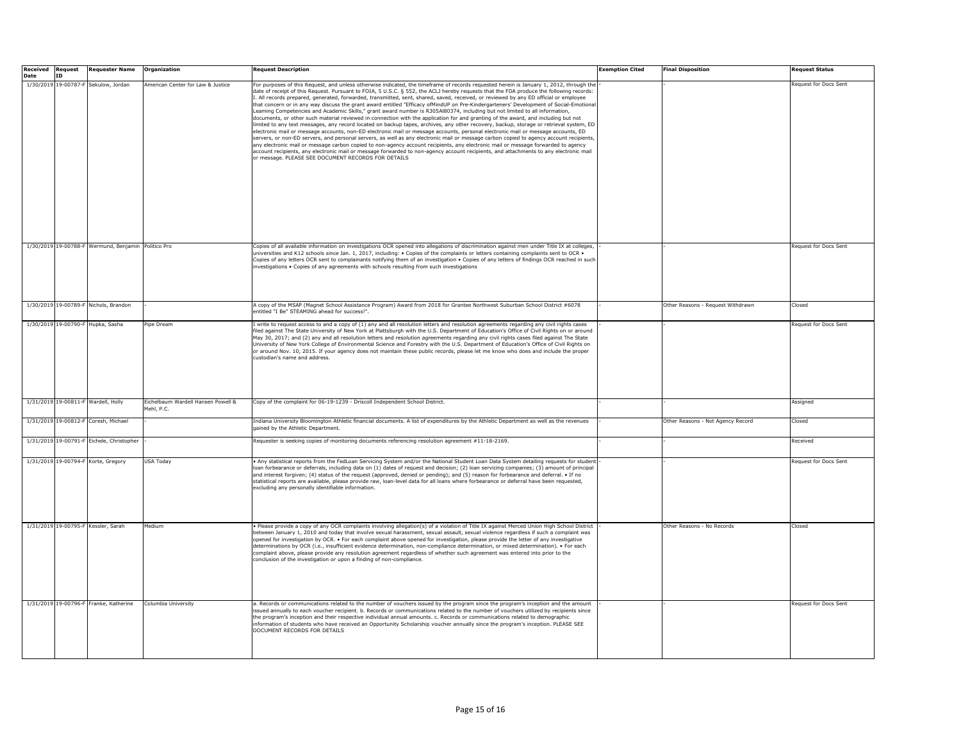| <b>Received Request</b> |    | <b>Requester Name</b>                               | Organization                                     | <b>Request Description</b>                                                                                                                                                                                                                                                                                                                                                                                                                                                                                                                                                                                                                                                                                                                                                                                                                                                                                                                                                                                                                                                                                                                                                                                                                                                                                                                                                                                                                                                                                                                                                                               | Exemption Cited | <b>Final Disposition</b>          | <b>Request Status</b>        |
|-------------------------|----|-----------------------------------------------------|--------------------------------------------------|----------------------------------------------------------------------------------------------------------------------------------------------------------------------------------------------------------------------------------------------------------------------------------------------------------------------------------------------------------------------------------------------------------------------------------------------------------------------------------------------------------------------------------------------------------------------------------------------------------------------------------------------------------------------------------------------------------------------------------------------------------------------------------------------------------------------------------------------------------------------------------------------------------------------------------------------------------------------------------------------------------------------------------------------------------------------------------------------------------------------------------------------------------------------------------------------------------------------------------------------------------------------------------------------------------------------------------------------------------------------------------------------------------------------------------------------------------------------------------------------------------------------------------------------------------------------------------------------------------|-----------------|-----------------------------------|------------------------------|
| <b>Date</b>             | ID | 1/30/2019 19-00787-F Sekulow, Jordan                | American Center for Law & Justice                | For purposes of this Request, and unless otherwise indicated, the timeframe of records requested herein is January 1, 2012, through the<br>date of receipt of this Request. Pursuant to FOIA, 5 U.S.C. § 552, the ACLJ hereby requests that the FDA produce the following records:<br>I. All records prepared, generated, forwarded, transmitted, sent, shared, saved, received, or reviewed by any ED official or employee<br>that concern or in any way discuss the grant award entitled "Efficacy ofMindUP on Pre-Kindergarteners' Development of Social-Emotion<br>Leaming Competencies and Academic Skills," grant award number is R305Al80374, including but not limited to all information,<br>documents, or other such material reviewed in connection with the application for and granting of the award, and including but not<br>limited to any text messages, any record located on backup tapes, archives, any other recovery, backup, storage or retrieval system, ED<br>electronic mail or message accounts, non-ED electronic mail or message accounts, personal electronic mail or message accounts, ED<br>servers, or non-ED servers, and personal servers, as well as any electronic mail or message carbon copied to agency account recipients,<br>any electronic mail or message carbon copied to non-agency account recipients, any electronic mail or message forwarded to agency<br>account recipients, any electronic mail or message forwarded to non-agency account recipients, and attachments to any electronic mail<br>or message. PLEASE SEE DOCUMENT RECORDS FOR DETAILS |                 |                                   | Request for Docs Sent        |
|                         |    | 1/30/2019 19-00788-F Wermund, Benjamin Politico Pro |                                                  | Copies of all available information on investigations OCR opened into allegations of discrimination against men under Title IX at colleges,<br>universities and K12 schools since Jan. 1, 2017, including: . Copies of the complaints or letters containing complaints sent to OCR .<br>Copies of any letters OCR sent to complainants notifying them of an investigation . Copies of any letters of findings OCR reached in such<br>investigations . Copies of any agreements with schools resulting from such investigations                                                                                                                                                                                                                                                                                                                                                                                                                                                                                                                                                                                                                                                                                                                                                                                                                                                                                                                                                                                                                                                                           |                 |                                   | <b>Request for Docs Sent</b> |
|                         |    | 1/30/2019 19-00789-F Nichols, Brandon               |                                                  | A copy of the MSAP (Magnet School Assistance Program) Award from 2018 for Grantee Northwest Suburban School District #6078<br>entitled "I Be" STEAMING ahead for success!".                                                                                                                                                                                                                                                                                                                                                                                                                                                                                                                                                                                                                                                                                                                                                                                                                                                                                                                                                                                                                                                                                                                                                                                                                                                                                                                                                                                                                              |                 | Other Reasons - Request Withdrawn | Closed                       |
|                         |    | 1/30/2019 19-00790-F Hupka, Sasha                   | Pipe Dream                                       | I write to request access to and a copy of (1) any and all resolution letters and resolution agreements regarding any civil rights cases<br>filed against The State University of New York at Plattsburgh with the U.S. Department of Education's Office of Civil Rights on or around<br>May 30, 2017; and (2) any and all resolution letters and resolution agreements regarding any civil rights cases filed against The State<br>University of New York College of Environmental Science and Forestry with the U.S. Department of Education's Office of Civil Rights on<br>or around Nov. 10, 2015. If your agency does not maintain these public records, please let me know who does and include the proper<br>custodian's name and address.                                                                                                                                                                                                                                                                                                                                                                                                                                                                                                                                                                                                                                                                                                                                                                                                                                                        |                 |                                   | Request for Docs Sent        |
|                         |    | 1/31/2019 19-00811-F Wardell, Holly                 | Eichelbaum Wardell Hansen Powell &<br>Mehl, P.C. | Copy of the complaint for 06-19-1239 - Driscoll Independent School District.                                                                                                                                                                                                                                                                                                                                                                                                                                                                                                                                                                                                                                                                                                                                                                                                                                                                                                                                                                                                                                                                                                                                                                                                                                                                                                                                                                                                                                                                                                                             |                 |                                   | Assigned                     |
|                         |    | 1/31/2019 19-00812-F Coresh, Michael                |                                                  | Indiana University Bloomington Athletic financial documents. A list of expenditures by the Athletic Department as well as the revenues<br>gained by the Athletic Department                                                                                                                                                                                                                                                                                                                                                                                                                                                                                                                                                                                                                                                                                                                                                                                                                                                                                                                                                                                                                                                                                                                                                                                                                                                                                                                                                                                                                              |                 | Other Reasons - Not Agency Record | Closed                       |
|                         |    | 1/31/2019 19-00791-F Eichele, Christopher           |                                                  | Requester is seeking copies of monitoring documents referencing resolution agreement #11-18-2169.                                                                                                                                                                                                                                                                                                                                                                                                                                                                                                                                                                                                                                                                                                                                                                                                                                                                                                                                                                                                                                                                                                                                                                                                                                                                                                                                                                                                                                                                                                        |                 |                                   | Received                     |
|                         |    | 1/31/2019 19-00794-F Korte, Gregory                 | <b>USA Todav</b>                                 | . Any statistical reports from the FedLoan Servicing System and/or the National Student Loan Data System detailing requests for student<br>loan forbearance or deferrals, including data on (1) dates of request and decision; (2) loan servicing companies; (3) amount of principal<br>and interest forgiven; (4) status of the request (approved, denied or pending); and (5) reason for forbearance and deferral. • If no<br>statistical reports are available, please provide raw, loan-level data for all loans where forbearance or deferral have been requested,<br>excluding any personally identifiable information.                                                                                                                                                                                                                                                                                                                                                                                                                                                                                                                                                                                                                                                                                                                                                                                                                                                                                                                                                                            |                 |                                   | Request for Docs Sent        |
|                         |    | 1/31/2019 19-00795-F Kessler, Sarah                 | Medium                                           | . Please provide a copy of any OCR complaints involving allegation(s) of a violation of Title IX against Merced Union High School District<br>between January 1, 2010 and today that involve sexual harassment, sexual assault, sexual violence regardless if such a complaint was<br>opened for investigation by OCR. • For each complaint above opened for investigation, please provide the letter of any investigative<br>determinations by OCR (i.e., insufficient evidence determination, non-compliance determination, or mixed determination). • For each<br>complaint above, please provide any resolution agreement regardless of whether such agreement was entered into prior to the<br>conclusion of the investigation or upon a finding of non-compliance.                                                                                                                                                                                                                                                                                                                                                                                                                                                                                                                                                                                                                                                                                                                                                                                                                                 |                 | Other Reasons - No Records        | Closed                       |
|                         |    | 1/31/2019 19-00796-F Franke, Katherine              | Columbia University                              | a. Records or communications related to the number of vouchers issued by the program since the program's inception and the amount<br>issued annually to each voucher recipient. b. Records or communications related to the number of vouchers utilized by recipients since<br>the program's inception and their respective individual annual amounts. c. Records or communications related to demographic<br>information of students who have received an Opportunity Scholarship voucher annually since the program's inception. PLEASE SEE<br>DOCUMENT RECORDS FOR DETAILS                                                                                                                                                                                                                                                                                                                                                                                                                                                                                                                                                                                                                                                                                                                                                                                                                                                                                                                                                                                                                            |                 |                                   | Request for Docs Sent        |